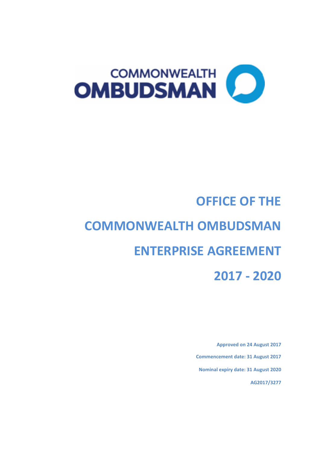

# **OFFICE OF THE COMMONWEALTH OMBUDSMAN ENTERPRISE AGREEMENT 2017 - 2020**

**Approved on 24 August 2017 Commencement date: 31 August 2017 Nominal expiry date: 31 August 2020 AG2017/3277**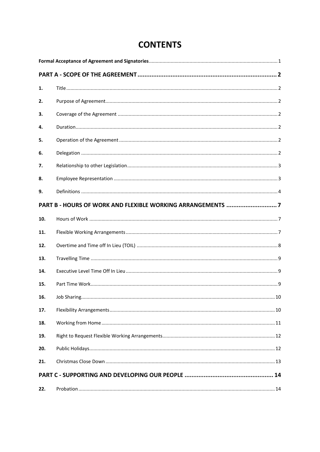| 1.  |  |
|-----|--|
| 2.  |  |
| 3.  |  |
| 4.  |  |
| 5.  |  |
| 6.  |  |
| 7.  |  |
| 8.  |  |
| 9.  |  |
|     |  |
| 10. |  |
| 11. |  |
| 12. |  |
| 13. |  |
| 14. |  |
| 15. |  |
| 16. |  |
| 17. |  |
| 18. |  |
| 19. |  |
| 20. |  |
| 21. |  |
|     |  |
| 22. |  |

# **CONTENTS**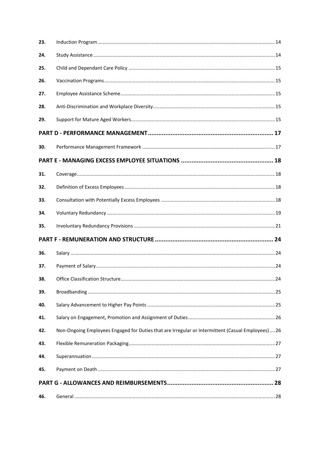| 23. |                                                                                                   |  |
|-----|---------------------------------------------------------------------------------------------------|--|
| 24. |                                                                                                   |  |
| 25. |                                                                                                   |  |
| 26. |                                                                                                   |  |
| 27. |                                                                                                   |  |
| 28. |                                                                                                   |  |
| 29. |                                                                                                   |  |
|     |                                                                                                   |  |
| 30. |                                                                                                   |  |
|     |                                                                                                   |  |
| 31. |                                                                                                   |  |
| 32. |                                                                                                   |  |
| 33. |                                                                                                   |  |
| 34. |                                                                                                   |  |
| 35. |                                                                                                   |  |
|     |                                                                                                   |  |
| 36. |                                                                                                   |  |
| 37. |                                                                                                   |  |
| 38. |                                                                                                   |  |
| 39. |                                                                                                   |  |
| 40. |                                                                                                   |  |
| 41. |                                                                                                   |  |
| 42. | Non-Ongoing Employees Engaged for Duties that are Irregular or Intermittent (Casual Employees) 26 |  |
| 43. |                                                                                                   |  |
| 44. |                                                                                                   |  |
| 45. |                                                                                                   |  |
|     |                                                                                                   |  |
| 46. |                                                                                                   |  |
|     |                                                                                                   |  |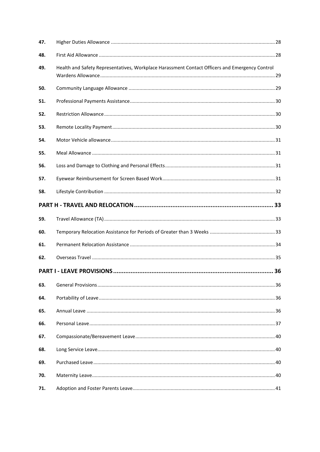| 47. |                                                                                                |  |
|-----|------------------------------------------------------------------------------------------------|--|
| 48. |                                                                                                |  |
| 49. | Health and Safety Representatives, Workplace Harassment Contact Officers and Emergency Control |  |
| 50. |                                                                                                |  |
| 51. |                                                                                                |  |
| 52. |                                                                                                |  |
| 53. |                                                                                                |  |
| 54. |                                                                                                |  |
| 55. |                                                                                                |  |
| 56. |                                                                                                |  |
| 57. |                                                                                                |  |
| 58. |                                                                                                |  |
|     |                                                                                                |  |
| 59. |                                                                                                |  |
| 60. |                                                                                                |  |
| 61. |                                                                                                |  |
| 62. |                                                                                                |  |
|     |                                                                                                |  |
| 63. |                                                                                                |  |
| 64. |                                                                                                |  |
| 65. |                                                                                                |  |
| 66. |                                                                                                |  |
| 67. |                                                                                                |  |
| 68. |                                                                                                |  |
| 69. |                                                                                                |  |
| 70. |                                                                                                |  |
| 71. |                                                                                                |  |
|     |                                                                                                |  |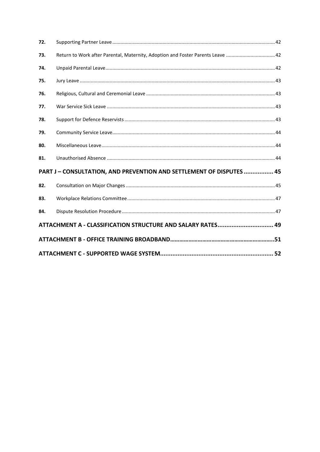| 72. |                                                                                 |  |
|-----|---------------------------------------------------------------------------------|--|
| 73. | Return to Work after Parental, Maternity, Adoption and Foster Parents Leave  42 |  |
| 74. |                                                                                 |  |
| 75. |                                                                                 |  |
| 76. |                                                                                 |  |
| 77. |                                                                                 |  |
| 78. |                                                                                 |  |
| 79. |                                                                                 |  |
| 80. |                                                                                 |  |
| 81. |                                                                                 |  |
|     | PART J - CONSULTATION, AND PREVENTION AND SETTLEMENT OF DISPUTES  45            |  |
| 82. |                                                                                 |  |
| 83. |                                                                                 |  |
| 84. |                                                                                 |  |
|     | ATTACHMENT A - CLASSIFICATION STRUCTURE AND SALARY RATES 49                     |  |
|     |                                                                                 |  |
|     |                                                                                 |  |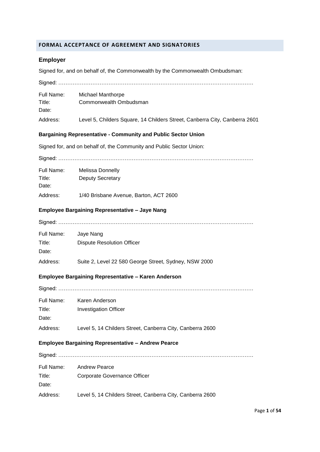#### <span id="page-5-0"></span>**FORMAL ACCEPTANCE OF AGREEMENT AND SIGNATORIES**

## **Employer**

Signed for, and on behalf of, the Commonwealth by the Commonwealth Ombudsman:

| Full Name:<br>Title:<br>Date: | <b>Michael Manthorpe</b><br>Commonwealth Ombudsman                         |
|-------------------------------|----------------------------------------------------------------------------|
| Address:                      | Level 5, Childers Square, 14 Childers Street, Canberra City, Canberra 2601 |
|                               | <b>Bargaining Representative - Community and Public Sector Union</b>       |
|                               | Signed for, and on behalf of, the Community and Public Sector Union:       |
|                               |                                                                            |
| Full Name:<br>Title:<br>Date: | Melissa Donnelly<br><b>Deputy Secretary</b>                                |
| Address:                      | 1/40 Brisbane Avenue, Barton, ACT 2600                                     |
|                               | <b>Employee Bargaining Representative - Jaye Nang</b>                      |
|                               |                                                                            |
| Full Name:<br>Title:<br>Date: | Jaye Nang<br><b>Dispute Resolution Officer</b>                             |
| Address:                      | Suite 2, Level 22 580 George Street, Sydney, NSW 2000                      |
|                               | <b>Employee Bargaining Representative - Karen Anderson</b>                 |
|                               |                                                                            |
| Title:<br>Date:               | Full Name: Karen Anderson<br><b>Investigation Officer</b>                  |
| Address:                      | Level 5, 14 Childers Street, Canberra City, Canberra 2600                  |
|                               | <b>Employee Bargaining Representative - Andrew Pearce</b>                  |
|                               |                                                                            |
| Full Name:<br>Title:<br>Date: | <b>Andrew Pearce</b><br>Corporate Governance Officer                       |
| Address:                      | Level 5, 14 Childers Street, Canberra City, Canberra 2600                  |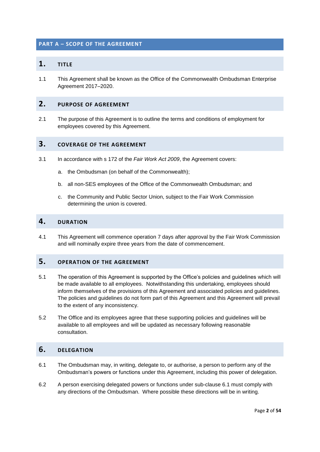#### **PART A – SCOPE OF THE AGREEMENT**

## **1. TITLE**

1.1 This Agreement shall be known as the Office of the Commonwealth Ombudsman Enterprise Agreement 2017–2020.

## **2. PURPOSE OF AGREEMENT**

2.1 The purpose of this Agreement is to outline the terms and conditions of employment for employees covered by this Agreement.

#### <span id="page-6-0"></span>**3. COVERAGE OF THE AGREEMENT**

- 3.1 In accordance with s 172 of the *Fair Work Act 2009*, the Agreement covers:
	- a. the Ombudsman (on behalf of the Commonwealth);
	- b. all non-SES employees of the Office of the Commonwealth Ombudsman; and
	- c. the Community and Public Sector Union, subject to the Fair Work Commission determining the union is covered.

## <span id="page-6-1"></span>**4. DURATION**

4.1 This Agreement will commence operation 7 days after approval by the Fair Work Commission and will nominally expire three years from the date of commencement.

## <span id="page-6-2"></span>**5. OPERATION OF THE AGREEMENT**

- 5.1 The operation of this Agreement is supported by the Office's policies and guidelines which will be made available to all employees. Notwithstanding this undertaking, employees should inform themselves of the provisions of this Agreement and associated policies and guidelines. The policies and guidelines do not form part of this Agreement and this Agreement will prevail to the extent of any inconsistency.
- 5.2 The Office and its employees agree that these supporting policies and guidelines will be available to all employees and will be updated as necessary following reasonable consultation.

## **6. DELEGATION**

- <span id="page-6-3"></span>6.1 The Ombudsman may, in writing, delegate to, or authorise, a person to perform any of the Ombudsman's powers or functions under this Agreement, including this power of delegation.
- 6.2 A person exercising delegated powers or functions under sub-clause [6.1](#page-6-3) must comply with any directions of the Ombudsman. Where possible these directions will be in writing.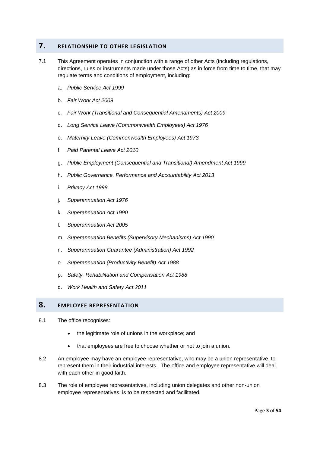## **7. RELATIONSHIP TO OTHER LEGISLATION**

- 7.1 This Agreement operates in conjunction with a range of other Acts (including regulations, directions, rules or instruments made under those Acts) as in force from time to time, that may regulate terms and conditions of employment, including:
	- a. *Public Service Act 1999*
	- b. *Fair Work Act 2009*
	- c. *Fair Work (Transitional and Consequential Amendments) Act 2009*
	- d. *Long Service Leave (Commonwealth Employees) Act 1976*
	- e. *Maternity Leave (Commonwealth Employees) Act 1973*
	- f. *Paid Parental Leave Act 2010*
	- g. *Public Employment (Consequential and Transitional) Amendment Act 1999*
	- h. *Public Governance, Performance and Accountability Act 2013*
	- i. *Privacy Act 1998*
	- j. *Superannuation Act 1976*
	- k. *Superannuation Act 1990*
	- l. *Superannuation Act 2005*
	- m. *Superannuation Benefits (Supervisory Mechanisms) Act 1990*
	- n. *Superannuation Guarantee (Administration) Act 1992*
	- o. *Superannuation (Productivity Benefit) Act 1988*
	- p. *Safety, Rehabilitation and Compensation Act 1988*
	- q. *Work Health and Safety Act 2011*

## **8. EMPLOYEE REPRESENTATION**

- 8.1 The office recognises:
	- the legitimate role of unions in the workplace; and
	- that employees are free to choose whether or not to join a union.
- 8.2 An employee may have an employee representative, who may be a union representative, to represent them in their industrial interests. The office and employee representative will deal with each other in good faith.
- 8.3 The role of employee representatives, including union delegates and other non-union employee representatives, is to be respected and facilitated.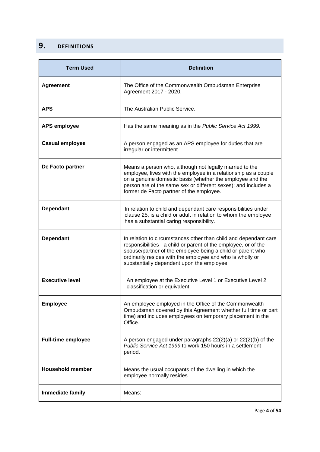## <span id="page-8-0"></span>**9. DEFINITIONS**

| <b>Term Used</b>          | <b>Definition</b>                                                                                                                                                                                                                                                                                            |  |
|---------------------------|--------------------------------------------------------------------------------------------------------------------------------------------------------------------------------------------------------------------------------------------------------------------------------------------------------------|--|
| <b>Agreement</b>          | The Office of the Commonwealth Ombudsman Enterprise<br>Agreement 2017 - 2020.                                                                                                                                                                                                                                |  |
| <b>APS</b>                | The Australian Public Service.                                                                                                                                                                                                                                                                               |  |
| <b>APS employee</b>       | Has the same meaning as in the Public Service Act 1999.                                                                                                                                                                                                                                                      |  |
| <b>Casual employee</b>    | A person engaged as an APS employee for duties that are<br>irregular or intermittent.                                                                                                                                                                                                                        |  |
| De Facto partner          | Means a person who, although not legally married to the<br>employee, lives with the employee in a relationship as a couple<br>on a genuine domestic basis (whether the employee and the<br>person are of the same sex or different sexes); and includes a<br>former de Facto partner of the employee.        |  |
| <b>Dependant</b>          | In relation to child and dependant care responsibilities under<br>clause 25, is a child or adult in relation to whom the employee<br>has a substantial caring responsibility.                                                                                                                                |  |
| <b>Dependant</b>          | In relation to circumstances other than child and dependant care<br>responsibilities - a child or parent of the employee, or of the<br>spouse/partner of the employee being a child or parent who<br>ordinarily resides with the employee and who is wholly or<br>substantially dependent upon the employee. |  |
| <b>Executive level</b>    | An employee at the Executive Level 1 or Executive Level 2<br>classification or equivalent.                                                                                                                                                                                                                   |  |
| <b>Employee</b>           | An employee employed in the Office of the Commonwealth<br>Ombudsman covered by this Agreement whether full time or part<br>time) and includes employees on temporary placement in the<br>Office.                                                                                                             |  |
| <b>Full-time employee</b> | A person engaged under paragraphs $22(2)(a)$ or $22(2)(b)$ of the<br>Public Service Act 1999 to work 150 hours in a settlement<br>period.                                                                                                                                                                    |  |
| <b>Household member</b>   | Means the usual occupants of the dwelling in which the<br>employee normally resides.                                                                                                                                                                                                                         |  |
| Immediate family          | Means:                                                                                                                                                                                                                                                                                                       |  |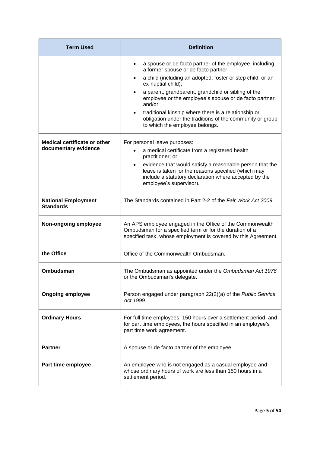| <b>Term Used</b>                                            | <b>Definition</b>                                                                                                                                                                                                                                                                                                                                                                                                                                                                       |  |
|-------------------------------------------------------------|-----------------------------------------------------------------------------------------------------------------------------------------------------------------------------------------------------------------------------------------------------------------------------------------------------------------------------------------------------------------------------------------------------------------------------------------------------------------------------------------|--|
|                                                             | a spouse or de facto partner of the employee, including<br>a former spouse or de facto partner;<br>a child (including an adopted, foster or step child, or an<br>٠<br>ex-nuptial child);<br>a parent, grandparent, grandchild or sibling of the<br>$\bullet$<br>employee or the employee's spouse or de facto partner;<br>and/or<br>traditional kinship where there is a relationship or<br>obligation under the traditions of the community or group<br>to which the employee belongs. |  |
| <b>Medical certificate or other</b><br>documentary evidence | For personal leave purposes:<br>a medical certificate from a registered health<br>practitioner; or<br>evidence that would satisfy a reasonable person that the<br>$\bullet$<br>leave is taken for the reasons specified (which may<br>include a statutory declaration where accepted by the<br>employee's supervisor).                                                                                                                                                                  |  |
| <b>National Employment</b><br><b>Standards</b>              | The Standards contained in Part 2-2 of the Fair Work Act 2009.                                                                                                                                                                                                                                                                                                                                                                                                                          |  |
| Non-ongoing employee                                        | An APS employee engaged in the Office of the Commonwealth<br>Ombudsman for a specified term or for the duration of a<br>specified task, whose employment is covered by this Agreement.                                                                                                                                                                                                                                                                                                  |  |
| the Office                                                  | Office of the Commonwealth Ombudsman.                                                                                                                                                                                                                                                                                                                                                                                                                                                   |  |
| Ombudsman                                                   | The Ombudsman as appointed under the Ombudsman Act 1976<br>or the Ombudsman's delegate.                                                                                                                                                                                                                                                                                                                                                                                                 |  |
| <b>Ongoing employee</b>                                     | Person engaged under paragraph 22(2)(a) of the Public Service<br>Act 1999.                                                                                                                                                                                                                                                                                                                                                                                                              |  |
| <b>Ordinary Hours</b>                                       | For full time employees, 150 hours over a settlement period, and<br>for part time employees, the hours specified in an employee's<br>part time work agreement.                                                                                                                                                                                                                                                                                                                          |  |
| <b>Partner</b>                                              | A spouse or de facto partner of the employee.                                                                                                                                                                                                                                                                                                                                                                                                                                           |  |
| Part time employee                                          | An employee who is not engaged as a casual employee and<br>whose ordinary hours of work are less than 150 hours in a<br>settlement period.                                                                                                                                                                                                                                                                                                                                              |  |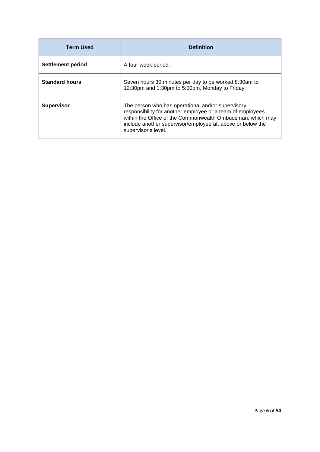| <b>Term Used</b>      | <b>Definition</b>                                                                                                                                                                                                                                                  |
|-----------------------|--------------------------------------------------------------------------------------------------------------------------------------------------------------------------------------------------------------------------------------------------------------------|
| Settlement period     | A four week period.                                                                                                                                                                                                                                                |
| <b>Standard hours</b> | Seven hours 30 minutes per day to be worked 8:30am to<br>12:30pm and 1:30pm to 5:00pm, Monday to Friday.                                                                                                                                                           |
| <b>Supervisor</b>     | The person who has operational and/or supervisory<br>responsibility for another employee or a team of employees<br>within the Office of the Commonwealth Ombudsman, which may<br>include another supervisor/employee at, above or below the<br>supervisor's level. |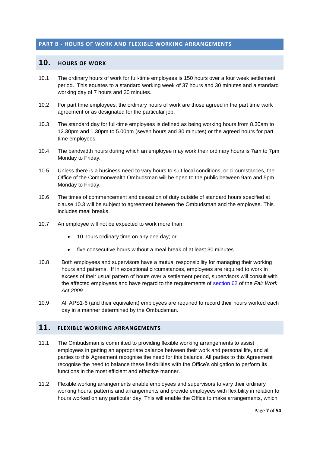#### <span id="page-11-0"></span>**PART B - HOURS OF WORK AND FLEXIBLE WORKING ARRANGEMENTS**

#### **10. HOURS OF WORK**

- 10.1 The ordinary hours of work for full-time employees is 150 hours over a four week settlement period. This equates to a standard working week of 37 hours and 30 minutes and a standard working day of 7 hours and 30 minutes.
- 10.2 For part time employees, the ordinary hours of work are those agreed in the part time work agreement or as designated for the particular job.
- 10.3 The standard day for full-time employees is defined as being working hours from 8.30am to 12.30pm and 1.30pm to 5.00pm (seven hours and 30 minutes) or the agreed hours for part time employees.
- 10.4 The bandwidth hours during which an employee may work their ordinary hours is 7am to 7pm Monday to Friday.
- 10.5 Unless there is a business need to vary hours to suit local conditions, or circumstances, the Office of the Commonwealth Ombudsman will be open to the public between 9am and 5pm Monday to Friday.
- 10.6 The times of commencement and cessation of duty outside of standard hours specified at clause 10.3 will be subject to agreement between the Ombudsman and the employee. This includes meal breaks.
- 10.7 An employee will not be expected to work more than:
	- 10 hours ordinary time on any one day; or
	- five consecutive hours without a meal break of at least 30 minutes.
- 10.8 Both employees and supervisors have a mutual responsibility for managing their working hours and patterns. If in exceptional circumstances, employees are required to work in excess of their usual pattern of hours over a settlement period, supervisors will consult with the affected employees and have regard to the requirements of [section](https://www.fwc.gov.au/documents/documents/legislation/fw_act/FW_Act-01.htm#P1719_160351) 62 of the *Fair Work Act 2009.*
- 10.9 All APS1-6 (and their equivalent) employees are required to record their hours worked each day in a manner determined by the Ombudsman.

## **11. FLEXIBLE WORKING ARRANGEMENTS**

- 11.1 The Ombudsman is committed to providing flexible working arrangements to assist employees in getting an appropriate balance between their work and personal life, and all parties to this Agreement recognise the need for this balance. All parties to this Agreement recognise the need to balance these flexibilities with the Office's obligation to perform its functions in the most efficient and effective manner.
- 11.2 Flexible working arrangements enable employees and supervisors to vary their ordinary working hours, patterns and arrangements and provide employees with flexibility in relation to hours worked on any particular day. This will enable the Office to make arrangements, which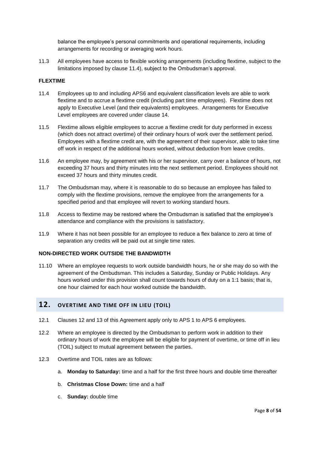balance the employee's personal commitments and operational requirements, including arrangements for recording or averaging work hours.

11.3 All employees have access to flexible working arrangements (including flextime, subject to the limitations imposed by clause 11.4), subject to the Ombudsman's approval.

#### **FLEXTIME**

- 11.4 Employees up to and including APS6 and equivalent classification levels are able to work flextime and to accrue a flextime credit (including part time employees). Flextime does not apply to Executive Level (and their equivalents) employees. Arrangements for Executive Level employees are covered under clause 14.
- 11.5 Flextime allows eligible employees to accrue a flextime credit for duty performed in excess (which does not attract overtime) of their ordinary hours of work over the settlement period. Employees with a flextime credit are, with the agreement of their supervisor, able to take time off work in respect of the additional hours worked, without deduction from leave credits.
- 11.6 An employee may, by agreement with his or her supervisor, carry over a balance of hours, not exceeding 37 hours and thirty minutes into the next settlement period. Employees should not exceed 37 hours and thirty minutes credit.
- 11.7 The Ombudsman may, where it is reasonable to do so because an employee has failed to comply with the flextime provisions, remove the employee from the arrangements for a specified period and that employee will revert to working standard hours.
- 11.8 Access to flextime may be restored where the Ombudsman is satisfied that the employee's attendance and compliance with the provisions is satisfactory.
- 11.9 Where it has not been possible for an employee to reduce a flex balance to zero at time of separation any credits will be paid out at single time rates.

#### **NON-DIRECTED WORK OUTSIDE THE BANDWIDTH**

11.10 Where an employee requests to work outside bandwidth hours, he or she may do so with the agreement of the Ombudsman. This includes a Saturday, Sunday or Public Holidays. Any hours worked under this provision shall count towards hours of duty on a 1:1 basis; that is, one hour claimed for each hour worked outside the bandwidth.

#### **12. OVERTIME AND TIME OFF IN LIEU (TOIL)**

- 12.1 Clauses 12 and 13 of this Agreement apply only to APS 1 to APS 6 employees.
- 12.2 Where an employee is directed by the Ombudsman to perform work in addition to their ordinary hours of work the employee will be eligible for payment of overtime, or time off in lieu (TOIL) subject to mutual agreement between the parties.
- 12.3 Overtime and TOIL rates are as follows:
	- a. **Monday to Saturday:** time and a half for the first three hours and double time thereafter
	- b. **Christmas Close Down:** time and a half
	- c. **Sunday:** double time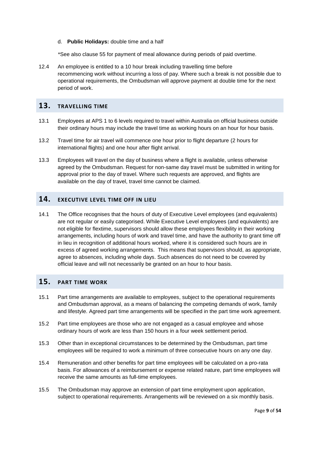#### d. **Public Holidays:** double time and a half

\*See also clause 55 for payment of meal allowance during periods of paid overtime.

12.4 An employee is entitled to a 10 hour break including travelling time before recommencing work without incurring a loss of pay. Where such a break is not possible due to operational requirements, the Ombudsman will approve payment at double time for the next period of work.

#### <span id="page-13-0"></span>**13. TRAVELLING TIME**

- 13.1 Employees at APS 1 to 6 levels required to travel within Australia on official business outside their ordinary hours may include the travel time as working hours on an hour for hour basis.
- 13.2 Travel time for air travel will commence one hour prior to flight departure (2 hours for international flights) and one hour after flight arrival.
- 13.3 Employees will travel on the day of business where a flight is available, unless otherwise agreed by the Ombudsman. Request for non-same day travel must be submitted in writing for approval prior to the day of travel. Where such requests are approved, and flights are available on the day of travel, travel time cannot be claimed.

## <span id="page-13-1"></span>**14. EXECUTIVE LEVEL TIME OFF IN LIEU**

14.1 The Office recognises that the hours of duty of Executive Level employees (and equivalents) are not regular or easily categorised. While Executive Level employees (and equivalents) are not eligible for flextime, supervisors should allow these employees flexibility in their working arrangements, including hours of work and travel time, and have the authority to grant time off in lieu in recognition of additional hours worked, where it is considered such hours are in excess of agreed working arrangements. This means that supervisors should, as appropriate, agree to absences, including whole days. Such absences do not need to be covered by official leave and will not necessarily be granted on an hour to hour basis.

## <span id="page-13-2"></span>**15. PART TIME WORK**

- 15.1 Part time arrangements are available to employees, subject to the operational requirements and Ombudsman approval, as a means of balancing the competing demands of work, family and lifestyle. Agreed part time arrangements will be specified in the part time work agreement.
- 15.2 Part time employees are those who are not engaged as a casual employee and whose ordinary hours of work are less than 150 hours in a four week settlement period.
- 15.3 Other than in exceptional circumstances to be determined by the Ombudsman, part time employees will be required to work a minimum of three consecutive hours on any one day.
- 15.4 Remuneration and other benefits for part time employees will be calculated on a pro-rata basis. For allowances of a reimbursement or expense related nature, part time employees will receive the same amounts as full-time employees.
- 15.5 The Ombudsman may approve an extension of part time employment upon application, subject to operational requirements. Arrangements will be reviewed on a six monthly basis.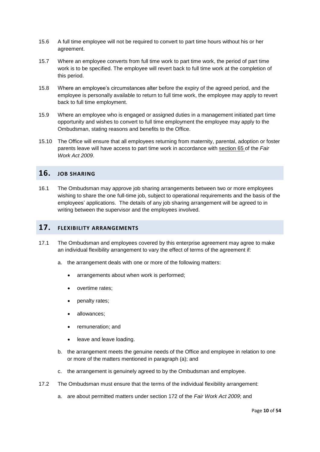- 15.6 A full time employee will not be required to convert to part time hours without his or her agreement.
- 15.7 Where an employee converts from full time work to part time work, the period of part time work is to be specified. The employee will revert back to full time work at the completion of this period.
- 15.8 Where an employee's circumstances alter before the expiry of the agreed period, and the employee is personally available to return to full time work, the employee may apply to revert back to full time employment.
- 15.9 Where an employee who is engaged or assigned duties in a management initiated part time opportunity and wishes to convert to full time employment the employee may apply to the Ombudsman, stating reasons and benefits to the Office.
- 15.10 The Office will ensure that all employees returning from maternity, parental, adoption or foster parents leave will have access to part time work in accordance with [section](https://www.fwc.gov.au/about-us/legislation-regulations/fair-work-act-2009) 65 of the *Fair Work Act 2009*.

## <span id="page-14-0"></span>**16. JOB SHARING**

16.1 The Ombudsman may approve job sharing arrangements between two or more employees wishing to share the one full-time job, subject to operational requirements and the basis of the employees' applications. The details of any job sharing arrangement will be agreed to in writing between the supervisor and the employees involved.

## <span id="page-14-1"></span>**17. FLEXIBILITY ARRANGEMENTS**

- 17.1 The Ombudsman and employees covered by this enterprise agreement may agree to make an individual flexibility arrangement to vary the effect of terms of the agreement if:
	- a. the arrangement deals with one or more of the following matters:
		- arrangements about when work is performed;
		- overtime rates;
		- penalty rates;
		- allowances;
		- remuneration; and
		- leave and leave loading.
	- b. the arrangement meets the genuine needs of the Office and employee in relation to one or more of the matters mentioned in paragraph (a); and
	- c. the arrangement is genuinely agreed to by the Ombudsman and employee.
- 17.2 The Ombudsman must ensure that the terms of the individual flexibility arrangement:
	- a. are about permitted matters under section 172 of the *Fair Work Act 2009*; and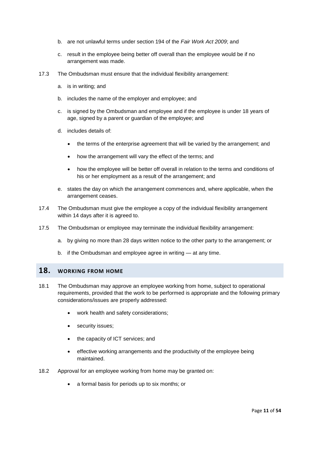- b. are not unlawful terms under section 194 of the *Fair Work Act 2009*; and
- c. result in the employee being better off overall than the employee would be if no arrangement was made.
- 17.3 The Ombudsman must ensure that the individual flexibility arrangement:
	- a. is in writing; and
	- b. includes the name of the employer and employee; and
	- c. is signed by the Ombudsman and employee and if the employee is under 18 years of age, signed by a parent or guardian of the employee; and
	- d. includes details of:
		- the terms of the enterprise agreement that will be varied by the arrangement; and
		- how the arrangement will vary the effect of the terms; and
		- how the employee will be better off overall in relation to the terms and conditions of his or her employment as a result of the arrangement; and
	- e. states the day on which the arrangement commences and, where applicable, when the arrangement ceases.
- 17.4 The Ombudsman must give the employee a copy of the individual flexibility arrangement within 14 days after it is agreed to.
- 17.5 The Ombudsman or employee may terminate the individual flexibility arrangement:
	- a. by giving no more than 28 days written notice to the other party to the arrangement; or
	- b. if the Ombudsman and employee agree in writing at any time.

#### <span id="page-15-0"></span>**18. WORKING FROM HOME**

- 18.1 The Ombudsman may approve an employee working from home, subject to operational requirements, provided that the work to be performed is appropriate and the following primary considerations/issues are properly addressed:
	- work health and safety considerations;
	- security issues;
	- the capacity of ICT services; and
	- effective working arrangements and the productivity of the employee being maintained.
- 18.2 Approval for an employee working from home may be granted on:
	- a formal basis for periods up to six months; or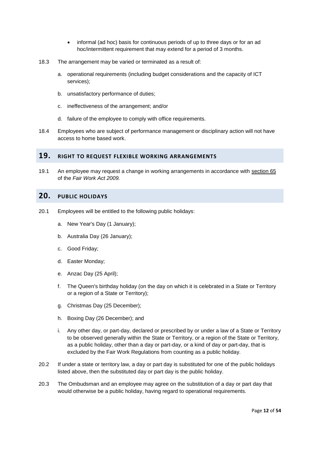- informal (ad hoc) basis for continuous periods of up to three days or for an ad hoc/intermittent requirement that may extend for a period of 3 months.
- 18.3 The arrangement may be varied or terminated as a result of:
	- a. operational requirements (including budget considerations and the capacity of ICT services);
	- b. unsatisfactory performance of duties;
	- c. ineffectiveness of the arrangement; and/or
	- d. failure of the employee to comply with office requirements.
- 18.4 Employees who are subject of performance management or disciplinary action will not have access to home based work.

#### <span id="page-16-0"></span>**19. RIGHT TO REQUEST FLEXIBLE WORKING ARRANGEMENTS**

19.1 An employee may request a change in working arrangements in accordance with [section](https://www.fwc.gov.au/about-us/legislation-regulations/fair-work-act-2009) 65 of the *Fair Work Act 2009.*

#### **20. PUBLIC HOLIDAYS**

- 20.1 Employees will be entitled to the following public holidays:
	- a. New Year's Day (1 January);
	- b. Australia Day (26 January);
	- c. Good Friday;
	- d. Easter Monday;
	- e. Anzac Day (25 April);
	- f. The Queen's birthday holiday (on the day on which it is celebrated in a State or Territory or a region of a State or Territory);
	- g. Christmas Day (25 December);
	- h. Boxing Day (26 December); and
	- i. Any other day, or part-day, declared or prescribed by or under a law of a State or Territory to be observed generally within the State or Territory, or a region of the State or Territory, as a public holiday, other than a day or part-day, or a kind of day or part-day, that is excluded by the Fair Work Regulations from counting as a public holiday.
- 20.2 If under a state or territory law, a day or part day is substituted for one of the public holidays listed above, then the substituted day or part day is the public holiday.
- 20.3 The Ombudsman and an employee may agree on the substitution of a day or part day that would otherwise be a public holiday, having regard to operational requirements.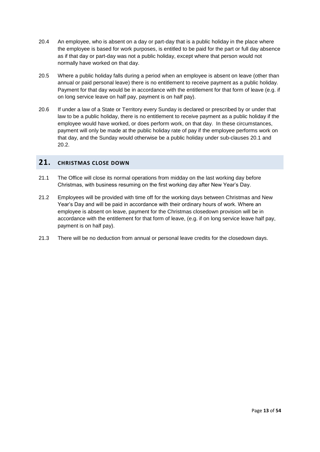- 20.4 An employee, who is absent on a day or part-day that is a public holiday in the place where the employee is based for work purposes, is entitled to be paid for the part or full day absence as if that day or part-day was not a public holiday, except where that person would not normally have worked on that day.
- 20.5 Where a public holiday falls during a period when an employee is absent on leave (other than annual or paid personal leave) there is no entitlement to receive payment as a public holiday. Payment for that day would be in accordance with the entitlement for that form of leave (e.g. if on long service leave on half pay, payment is on half pay).
- 20.6 If under a law of a State or Territory every Sunday is declared or prescribed by or under that law to be a public holiday, there is no entitlement to receive payment as a public holiday if the employee would have worked, or does perform work, on that day. In these circumstances, payment will only be made at the public holiday rate of pay if the employee performs work on that day, and the Sunday would otherwise be a public holiday under sub-clauses 20.1 and 20.2.

## **21. CHRISTMAS CLOSE DOWN**

- 21.1 The Office will close its normal operations from midday on the last working day before Christmas, with business resuming on the first working day after New Year's Day.
- 21.2 Employees will be provided with time off for the working days between Christmas and New Year's Day and will be paid in accordance with their ordinary hours of work. Where an employee is absent on leave, payment for the Christmas closedown provision will be in accordance with the entitlement for that form of leave, (e.g. if on long service leave half pay, payment is on half pay).
- 21.3 There will be no deduction from annual or personal leave credits for the closedown days.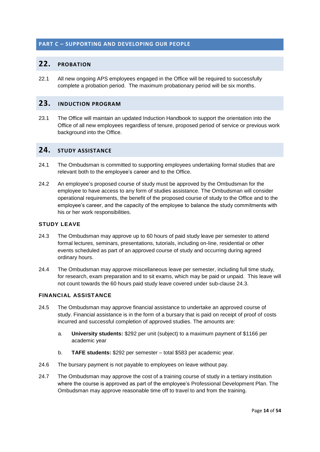#### <span id="page-18-0"></span>**PART C – SUPPORTING AND DEVELOPING OUR PEOPLE**

#### **22. PROBATION**

22.1 All new ongoing APS employees engaged in the Office will be required to successfully complete a probation period. The maximum probationary period will be six months.

#### **23. INDUCTION PROGRAM**

23.1 The Office will maintain an updated Induction Handbook to support the orientation into the Office of all new employees regardless of tenure, proposed period of service or previous work background into the Office.

## **24. STUDY ASSISTANCE**

- 24.1 The Ombudsman is committed to supporting employees undertaking formal studies that are relevant both to the employee's career and to the Office.
- 24.2 An employee's proposed course of study must be approved by the Ombudsman for the employee to have access to any form of studies assistance. The Ombudsman will consider operational requirements, the benefit of the proposed course of study to the Office and to the employee's career, and the capacity of the employee to balance the study commitments with his or her work responsibilities.

#### **STUDY LEAVE**

- 24.3 The Ombudsman may approve up to 60 hours of paid study leave per semester to attend formal lectures, seminars, presentations, tutorials, including on-line, residential or other events scheduled as part of an approved course of study and occurring during agreed ordinary hours.
- 24.4 The Ombudsman may approve miscellaneous leave per semester, including full time study, for research, exam preparation and to sit exams, which may be paid or unpaid. This leave will not count towards the 60 hours paid study leave covered under sub-clause 24.3.

#### **FINANCIAL ASSISTANCE**

- 24.5 The Ombudsman may approve financial assistance to undertake an approved course of study. Financial assistance is in the form of a bursary that is paid on receipt of proof of costs incurred and successful completion of approved studies. The amounts are:
	- a. **University students:** \$292 per unit (subject) to a maximum payment of \$1166 per academic year
	- b. **TAFE students:** \$292 per semester total \$583 per academic year.
- 24.6 The bursary payment is not payable to employees on leave without pay.
- 24.7 The Ombudsman may approve the cost of a training course of study in a tertiary institution where the course is approved as part of the employee's Professional Development Plan. The Ombudsman may approve reasonable time off to travel to and from the training.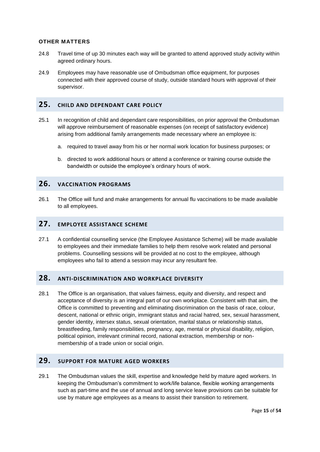#### **OTHER MATTERS**

- 24.8 Travel time of up 30 minutes each way will be granted to attend approved study activity within agreed ordinary hours.
- 24.9 Employees may have reasonable use of Ombudsman office equipment, for purposes connected with their approved course of study, outside standard hours with approval of their supervisor.

#### <span id="page-19-0"></span>**25. CHILD AND DEPENDANT CARE POLICY**

- 25.1 In recognition of child and dependant care responsibilities, on prior approval the Ombudsman will approve reimbursement of reasonable expenses (on receipt of satisfactory evidence) arising from additional family arrangements made necessary where an employee is:
	- a. required to travel away from his or her normal work location for business purposes; or
	- b. directed to work additional hours or attend a conference or training course outside the bandwidth or outside the employee's ordinary hours of work.

#### <span id="page-19-1"></span>**26. VACCINATION PROGRAMS**

26.1 The Office will fund and make arrangements for annual flu vaccinations to be made available to all employees.

#### **27. EMPLOYEE ASSISTANCE SCHEME**

27.1 A confidential counselling service (the Employee Assistance Scheme) will be made available to employees and their immediate families to help them resolve work related and personal problems. Counselling sessions will be provided at no cost to the employee, although employees who fail to attend a session may incur any resultant fee.

#### **28. ANTI-DISCRIMINATION AND WORKPLACE DIVERSITY**

28.1 The Office is an organisation, that values fairness, equity and diversity, and respect and acceptance of diversity is an integral part of our own workplace. Consistent with that aim, the Office is committed to preventing and eliminating discrimination on the basis of race, colour, descent, national or ethnic origin, immigrant status and racial hatred, sex, sexual harassment, gender identity, intersex status, sexual orientation, marital status or relationship status, breastfeeding, family responsibilities, pregnancy, age, mental or physical disability, religion, political opinion, irrelevant criminal record, national extraction, membership or nonmembership of a trade union or social origin.

## **29. SUPPORT FOR MATURE AGED WORKERS**

29.1 The Ombudsman values the skill, expertise and knowledge held by mature aged workers. In keeping the Ombudsman's commitment to work/life balance, flexible working arrangements such as part-time and the use of annual and long service leave provisions can be suitable for use by mature age employees as a means to assist their transition to retirement.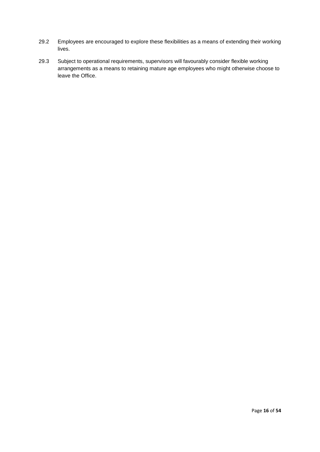- 29.2 Employees are encouraged to explore these flexibilities as a means of extending their working lives.
- 29.3 Subject to operational requirements, supervisors will favourably consider flexible working arrangements as a means to retaining mature age employees who might otherwise choose to leave the Office.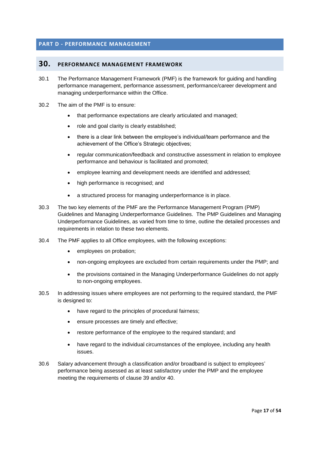#### **PART D - PERFORMANCE MANAGEMENT**

#### **30. PERFORMANCE MANAGEMENT FRAMEWORK**

- 30.1 The Performance Management Framework (PMF) is the framework for guiding and handling performance management, performance assessment, performance/career development and managing underperformance within the Office.
- 30.2 The aim of the PMF is to ensure:
	- that performance expectations are clearly articulated and managed;
	- role and goal clarity is clearly established;
	- there is a clear link between the employee's individual/team performance and the achievement of the Office's Strategic objectives;
	- regular communication/feedback and constructive assessment in relation to employee performance and behaviour is facilitated and promoted;
	- employee learning and development needs are identified and addressed;
	- high performance is recognised; and
	- a structured process for managing underperformance is in place.
- 30.3 The two key elements of the PMF are the Performance Management Program (PMP) Guidelines and Managing Underperformance Guidelines. The PMP Guidelines and Managing Underperformance Guidelines, as varied from time to time, outline the detailed processes and requirements in relation to these two elements.
- 30.4 The PMF applies to all Office employees, with the following exceptions:
	- employees on probation;
	- non-ongoing employees are excluded from certain requirements under the PMP; and
	- the provisions contained in the Managing Underperformance Guidelines do not apply to non-ongoing employees.
- 30.5 In addressing issues where employees are not performing to the required standard, the PMF is designed to:
	- have regard to the principles of procedural fairness;
	- ensure processes are timely and effective;
	- restore performance of the employee to the required standard; and
	- have regard to the individual circumstances of the employee, including any health issues.
- 30.6 Salary advancement through a classification and/or broadband is subject to employees' performance being assessed as at least satisfactory under the PMP and the employee meeting the requirements of clause 39 and/or 40.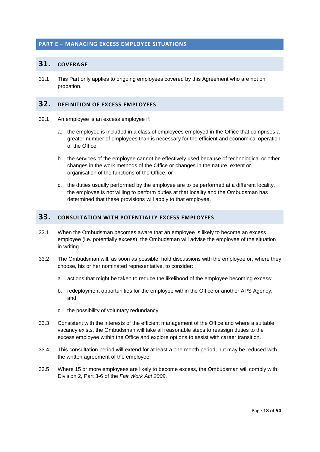#### <span id="page-22-1"></span><span id="page-22-0"></span>**PART E – MANAGING EXCESS EMPLOYEE SITUATIONS**

#### **31. COVERAGE**

31.1 This Part only applies to ongoing employees covered by this Agreement who are not on probation.

## <span id="page-22-2"></span>**32. DEFINITION OF EXCESS EMPLOYEES**

- 32.1 An employee is an excess employee if:
	- a. the employee is included in a class of employees employed in the Office that comprises a greater number of employees than is necessary for the efficient and economical operation of the Office;
	- b. the services of the employee cannot be effectively used because of technological or other changes in the work methods of the Office or changes in the nature, extent or organisation of the functions of the Office; or
	- c. the duties usually performed by the employee are to be performed at a different locality, the employee is not willing to perform duties at that locality and the Ombudsman has determined that these provisions will apply to that employee.

## <span id="page-22-3"></span>**33. CONSULTATION WITH POTENTIALLY EXCESS EMPLOYEES**

- 33.1 When the Ombudsman becomes aware that an employee is likely to become an excess employee (i.e. potentially excess), the Ombudsman will advise the employee of the situation in writing.
- 33.2 The Ombudsman will, as soon as possible, hold discussions with the employee or, where they choose, his or her nominated representative, to consider:
	- a. actions that might be taken to reduce the likelihood of the employee becoming excess;
	- b. redeployment opportunities for the employee within the Office or another APS Agency; and
	- c. the possibility of voluntary redundancy.
- 33.3 Consistent with the interests of the efficient management of the Office and where a suitable vacancy exists, the Ombudsman will take all reasonable steps to reassign duties to the excess employee within the Office and explore options to assist with career transition.
- 33.4 This consultation period will extend for at least a one month period, but may be reduced with the written agreement of the employee.
- 33.5 Where 15 or more employees are likely to become excess, the Ombudsman will comply with Division 2, Part 3-6 of the *Fair Work Act 2009*.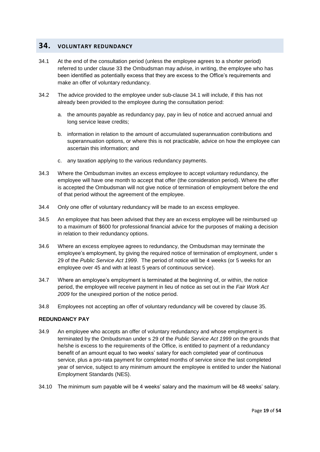#### **34. VOLUNTARY REDUNDANCY**

- 34.1 At the end of the consultation period (unless the employee agrees to a shorter period) referred to under clause 33 the Ombudsman may advise, in writing, the employee who has been identified as potentially excess that they are excess to the Office's requirements and make an offer of voluntary redundancy.
- 34.2 The advice provided to the employee under sub-clause 34.1 will include, if this has not already been provided to the employee during the consultation period:
	- a. the amounts payable as redundancy pay, pay in lieu of notice and accrued annual and long service leave credits;
	- b. information in relation to the amount of accumulated superannuation contributions and superannuation options, or where this is not practicable, advice on how the employee can ascertain this information; and
	- c. any taxation applying to the various redundancy payments.
- 34.3 Where the Ombudsman invites an excess employee to accept voluntary redundancy, the employee will have one month to accept that offer (the consideration period). Where the offer is accepted the Ombudsman will not give notice of termination of employment before the end of that period without the agreement of the employee.
- 34.4 Only one offer of voluntary redundancy will be made to an excess employee.
- 34.5 An employee that has been advised that they are an excess employee will be reimbursed up to a maximum of \$600 for professional financial advice for the purposes of making a decision in relation to their redundancy options.
- 34.6 Where an excess employee agrees to redundancy, the Ombudsman may terminate the employee's employment, by giving the required notice of termination of employment, under s 29 of the *Public Service Act 1999*. The period of notice will be 4 weeks (or 5 weeks for an employee over 45 and with at least 5 years of continuous service).
- 34.7 Where an employee's employment is terminated at the beginning of, or within, the notice period, the employee will receive payment in lieu of notice as set out in the *Fair Work Act 2009* for the unexpired portion of the notice period.
- 34.8 Employees not accepting an offer of voluntary redundancy will be covered by clause 35.

#### **REDUNDANCY PAY**

- 34.9 An employee who accepts an offer of voluntary redundancy and whose employment is terminated by the Ombudsman under s 29 of the *Public Service Act 1999* on the grounds that he/she is excess to the requirements of the Office, is entitled to payment of a redundancy benefit of an amount equal to two weeks' salary for each completed year of continuous service, plus a pro-rata payment for completed months of service since the last completed year of service, subject to any minimum amount the employee is entitled to under the National Employment Standards (NES).
- 34.10 The minimum sum payable will be 4 weeks' salary and the maximum will be 48 weeks' salary.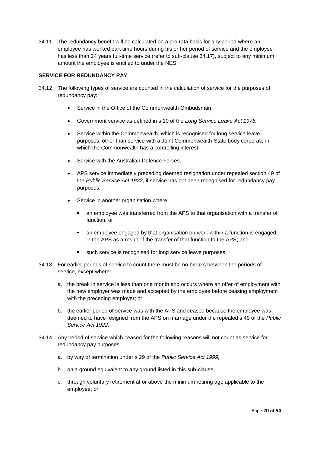34.11 The redundancy benefit will be calculated on a pro rata basis for any period where an employee has worked part time hours during his or her period of service and the employee has less than 24 years full-time service (refer to sub-clause 34.17), subject to any minimum amount the employee is entitled to under the NES.

#### **SERVICE FOR REDUNDANCY PAY**

- 34.12 The following types of service are counted in the calculation of service for the purposes of redundancy pay:
	- Service in the Office of the Commonwealth Ombudsman.
	- Government service as defined in s 10 of the *Long Service Leave Act 1976.*
	- Service within the Commonwealth, which is recognised for long service leave purposes, other than service with a Joint Commonwealth-State body corporate in which the Commonwealth has a controlling interest.
	- Service with the Australian Defence Forces.
	- APS service immediately preceding deemed resignation under repealed section 49 of the *Public Service Act 1922*, if service has not been recognised for redundancy pay purposes.
	- Service in another organisation where:
		- an employee was transferred from the APS to that organisation with a transfer of function; or
		- an employee engaged by that organisation on work within a function is engaged in the APS as a result of the transfer of that function to the APS; and
		- such service is recognised for long service leave purposes.
- 34.13 For earlier periods of service to count there must be no breaks between the periods of service, except where:
	- a. the break in service is less than one month and occurs where an offer of employment with the new employer was made and accepted by the employee before ceasing employment with the preceding employer; or
	- b. the earlier period of service was with the APS and ceased because the employee was deemed to have resigned from the APS on marriage under the repealed s 49 of the *Public Service Act 1922*.
- 34.14 Any period of service which ceased for the following reasons will not count as service for redundancy pay purposes.
	- a. by way of termination under s 29 of the *Public Service Act 1999;*
	- b. on a ground equivalent to any ground listed in this sub-clause;
	- c. through voluntary retirement at or above the minimum retiring age applicable to the employee; or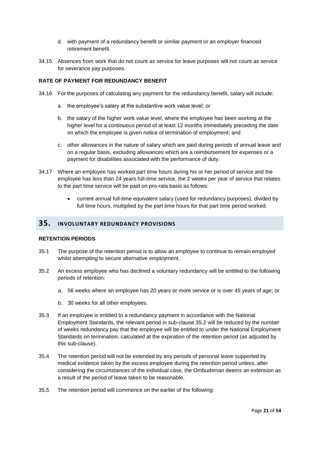- d. with payment of a redundancy benefit or similar payment or an employer financed retirement benefit.
- 34.15 Absences from work that do not count as service for leave purposes will not count as service for severance pay purposes.

#### **RATE OF PAYMENT FOR REDUNDANCY BENEFIT**

- 34.16 For the purposes of calculating any payment for the redundancy benefit, salary will include:
	- a. the employee's salary at the substantive work value level; or
	- b. the salary of the higher work value level, where the employee has been working at the higher level for a continuous period of at least 12 months immediately preceding the date on which the employee is given notice of termination of employment; and
	- c. other allowances in the nature of salary which are paid during periods of annual leave and on a regular basis, excluding allowances which are a reimbursement for expenses or a payment for disabilities associated with the performance of duty.
- 34.17 Where an employee has worked part time hours during his or her period of service and the employee has less than 24 years full-time service, the 2 weeks per year of service that relates to the part time service will be paid on pro-rata basis as follows:
	- current annual full-time equivalent salary (used for redundancy purposes), divided by full time hours, multiplied by the part time hours for that part time period worked.

#### **35. INVOLUNTARY REDUNDANCY PROVISIONS**

#### **RETENTION PERIODS**

- 35.1 The purpose of the retention period is to allow an employee to continue to remain employed whilst attempting to secure alternative employment.
- 35.2 An excess employee who has declined a voluntary redundancy will be entitled to the following periods of retention:
	- a. 56 weeks where an employee has 20 years or more service or is over 45 years of age; or
	- b. 30 weeks for all other employees.
- 35.3 If an employee is entitled to a redundancy payment in accordance with the National Employment Standards, the relevant period in sub-clause 35.2 will be reduced by the number of weeks redundancy pay that the employee will be entitled to under the National Employment Standards on termination, calculated at the expiration of the retention period (as adjusted by this sub-clause).
- 35.4 The retention period will not be extended by any periods of personal leave supported by medical evidence taken by the excess employee during the retention period unless, after considering the circumstances of the individual case, the Ombudsman deems an extension as a result of the period of leave taken to be reasonable.
- 35.5 The retention period will commence on the earlier of the following: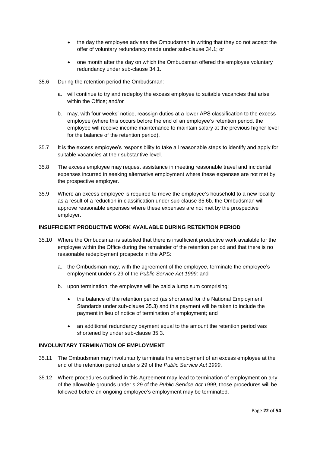- the day the employee advises the Ombudsman in writing that they do not accept the offer of voluntary redundancy made under sub-clause 34.1; or
- one month after the day on which the Ombudsman offered the employee voluntary redundancy under sub-clause 34.1.
- 35.6 During the retention period the Ombudsman:
	- a. will continue to try and redeploy the excess employee to suitable vacancies that arise within the Office; and/or
	- b. may, with four weeks' notice, reassign duties at a lower APS classification to the excess employee (where this occurs before the end of an employee's retention period, the employee will receive income maintenance to maintain salary at the previous higher level for the balance of the retention period).
- 35.7 It is the excess employee's responsibility to take all reasonable steps to identify and apply for suitable vacancies at their substantive level.
- 35.8 The excess employee may request assistance in meeting reasonable travel and incidental expenses incurred in seeking alternative employment where these expenses are not met by the prospective employer.
- 35.9 Where an excess employee is required to move the employee's household to a new locality as a result of a reduction in classification under sub-clause 35.6b. the Ombudsman will approve reasonable expenses where these expenses are not met by the prospective employer.

#### **INSUFFICIENT PRODUCTIVE WORK AVAILABLE DURING RETENTION PERIOD**

- 35.10 Where the Ombudsman is satisfied that there is insufficient productive work available for the employee within the Office during the remainder of the retention period and that there is no reasonable redeployment prospects in the APS:
	- a. the Ombudsman may, with the agreement of the employee, terminate the employee's employment under s 29 of the *Public Service Act 1999;* and
	- b. upon termination, the employee will be paid a lump sum comprising:
		- the balance of the retention period (as shortened for the National Employment Standards under sub-clause 35.3) and this payment will be taken to include the payment in lieu of notice of termination of employment; and
		- an additional redundancy payment equal to the amount the retention period was shortened by under sub-clause 35.3.

#### **INVOLUNTARY TERMINATION OF EMPLOYMENT**

- 35.11 The Ombudsman may involuntarily terminate the employment of an excess employee at the end of the retention period under s 29 of the *Public Service Act 1999*.
- 35.12 Where procedures outlined in this Agreement may lead to termination of employment on any of the allowable grounds under s 29 of the *Public Service Act 1999*, those procedures will be followed before an ongoing employee's employment may be terminated.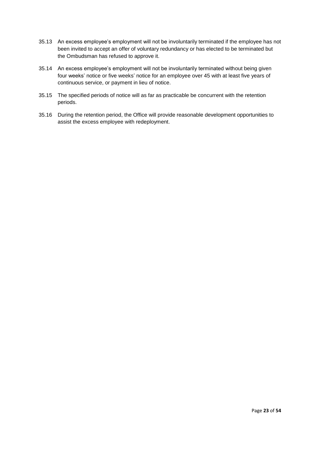- 35.13 An excess employee's employment will not be involuntarily terminated if the employee has not been invited to accept an offer of voluntary redundancy or has elected to be terminated but the Ombudsman has refused to approve it.
- 35.14 An excess employee's employment will not be involuntarily terminated without being given four weeks' notice or five weeks' notice for an employee over 45 with at least five years of continuous service, or payment in lieu of notice.
- 35.15 The specified periods of notice will as far as practicable be concurrent with the retention periods.
- 35.16 During the retention period, the Office will provide reasonable development opportunities to assist the excess employee with redeployment.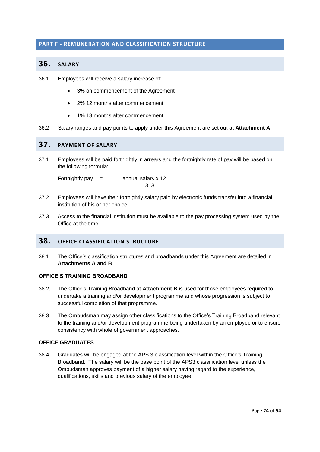#### <span id="page-28-1"></span><span id="page-28-0"></span>**PART F - REMUNERATION AND CLASSIFICATION STRUCTURE**

#### **36. SALARY**

- 36.1 Employees will receive a salary increase of:
	- 3% on commencement of the Agreement
	- 2% 12 months after commencement
	- 1% 18 months after commencement
- 36.2 Salary ranges and pay points to apply under this Agreement are set out at **Attachment A**.

## <span id="page-28-2"></span>**37. PAYMENT OF SALARY**

37.1 Employees will be paid fortnightly in arrears and the fortnightly rate of pay will be based on the following formula:

Fortnightly pay  $=$  annual salary  $\times$  12 313

- 37.2 Employees will have their fortnightly salary paid by electronic funds transfer into a financial institution of his or her choice.
- 37.3 Access to the financial institution must be available to the pay processing system used by the Office at the time.

## **38. OFFICE CLASSIFICATION STRUCTURE**

38.1. The Office's classification structures and broadbands under this Agreement are detailed in **Attachments A and B**.

#### **OFFICE'S TRAINING BROADBAND**

- 38.2. The Office's Training Broadband at **Attachment B** is used for those employees required to undertake a training and/or development programme and whose progression is subject to successful completion of that programme.
- 38.3 The Ombudsman may assign other classifications to the Office's Training Broadband relevant to the training and/or development programme being undertaken by an employee or to ensure consistency with whole of government approaches.

#### **OFFICE GRADUATES**

38.4 Graduates will be engaged at the APS 3 classification level within the Office's Training Broadband. The salary will be the base point of the APS3 classification level unless the Ombudsman approves payment of a higher salary having regard to the experience, qualifications, skills and previous salary of the employee.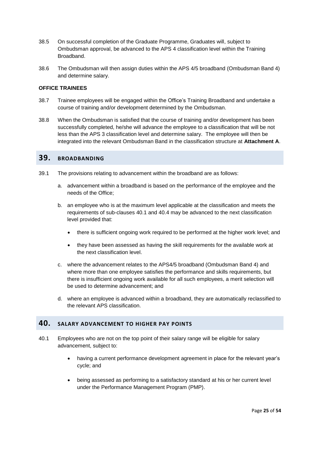- 38.5 On successful completion of the Graduate Programme, Graduates will, subject to Ombudsman approval, be advanced to the APS 4 classification level within the Training Broadband.
- 38.6 The Ombudsman will then assign duties within the APS 4/5 broadband (Ombudsman Band 4) and determine salary.

#### **OFFICE TRAINEES**

- 38.7 Trainee employees will be engaged within the Office's Training Broadband and undertake a course of training and/or development determined by the Ombudsman.
- 38.8 When the Ombudsman is satisfied that the course of training and/or development has been successfully completed, he/she will advance the employee to a classification that will be not less than the APS 3 classification level and determine salary. The employee will then be integrated into the relevant Ombudsman Band in the classification structure at **Attachment A**.

## **39. BROADBANDING**

- 39.1 The provisions relating to advancement within the broadband are as follows:
	- a. advancement within a broadband is based on the performance of the employee and the needs of the Office;
	- b. an employee who is at the maximum level applicable at the classification and meets the requirements of sub-clauses 40.1 and 40.4 may be advanced to the next classification level provided that:
		- there is sufficient ongoing work required to be performed at the higher work level; and
		- they have been assessed as having the skill requirements for the available work at the next classification level.
	- c. where the advancement relates to the APS4/5 broadband (Ombudsman Band 4) and where more than one employee satisfies the performance and skills requirements, but there is insufficient ongoing work available for all such employees, a merit selection will be used to determine advancement; and
	- d. where an employee is advanced within a broadband, they are automatically reclassified to the relevant APS classification.

#### <span id="page-29-0"></span>**40. SALARY ADVANCEMENT TO HIGHER PAY POINTS**

- 40.1 Employees who are not on the top point of their salary range will be eligible for salary advancement, subject to:
	- having a current performance development agreement in place for the relevant year's cycle; and
	- being assessed as performing to a satisfactory standard at his or her current level under the Performance Management Program (PMP).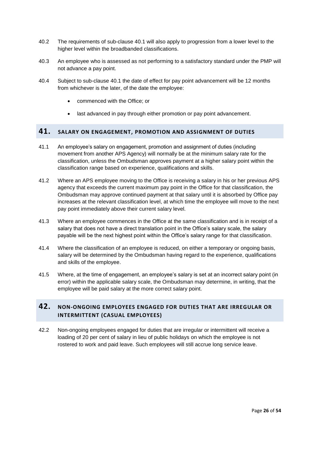- 40.2 The requirements of sub-clause 40.1 will also apply to progression from a lower level to the higher level within the broadbanded classifications.
- 40.3 An employee who is assessed as not performing to a satisfactory standard under the PMP will not advance a pay point.
- 40.4 Subject to sub-clause 40.1 the date of effect for pay point advancement will be 12 months from whichever is the later, of the date the employee:
	- commenced with the Office; or
	- last advanced in pay through either promotion or pay point advancement.

#### **41. SALARY ON ENGAGEMENT, PROMOTION AND ASSIGNMENT OF DUTIES**

- 41.1 An employee's salary on engagement, promotion and assignment of duties (including movement from another APS Agency) will normally be at the minimum salary rate for the classification, unless the Ombudsman approves payment at a higher salary point within the classification range based on experience, qualifications and skills.
- 41.2 Where an APS employee moving to the Office is receiving a salary in his or her previous APS agency that exceeds the current maximum pay point in the Office for that classification, the Ombudsman may approve continued payment at that salary until it is absorbed by Office pay increases at the relevant classification level, at which time the employee will move to the next pay point immediately above their current salary level.
- 41.3 Where an employee commences in the Office at the same classification and is in receipt of a salary that does not have a direct translation point in the Office's salary scale, the salary payable will be the next highest point within the Office's salary range for that classification.
- 41.4 Where the classification of an employee is reduced, on either a temporary or ongoing basis, salary will be determined by the Ombudsman having regard to the experience, qualifications and skills of the employee.
- 41.5 Where, at the time of engagement, an employee's salary is set at an incorrect salary point (in error) within the applicable salary scale, the Ombudsman may determine, in writing, that the employee will be paid salary at the more correct salary point.

## <span id="page-30-0"></span>**42. NON-ONGOING EMPLOYEES ENGAGED FOR DUTIES THAT ARE IRREGULAR OR INTERMITTENT (CASUAL EMPLOYEES)**

42.2 Non-ongoing employees engaged for duties that are irregular or intermittent will receive a loading of 20 per cent of salary in lieu of public holidays on which the employee is not rostered to work and paid leave. Such employees will still accrue long service leave.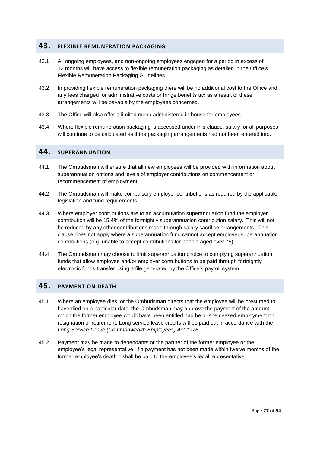## <span id="page-31-0"></span>**43. FLEXIBLE REMUNERATION PACKAGING**

- 43.1 All ongoing employees, and non-ongoing employees engaged for a period in excess of 12 months will have access to flexible remuneration packaging as detailed in the Office's Flexible Remuneration Packaging Guidelines.
- 43.2 In providing flexible remuneration packaging there will be no additional cost to the Office and any fees charged for administrative costs or fringe benefits tax as a result of these arrangements will be payable by the employees concerned.
- 43.3 The Office will also offer a limited menu administered in house for employees.
- 43.4 Where flexible remuneration packaging is accessed under this clause, salary for all purposes will continue to be calculated as if the packaging arrangements had not been entered into.

## <span id="page-31-1"></span>**44. SUPERANNUATION**

- 44.1 The Ombudsman will ensure that all new employees will be provided with information about superannuation options and levels of employer contributions on commencement or recommencement of employment.
- 44.2 The Ombudsman will make compulsory employer contributions as required by the applicable legislation and fund requirements.
- 44.3 Where employer contributions are to an accumulation superannuation fund the employer contribution will be 15.4% of the fortnightly superannuation contribution salary. This will not be reduced by any other contributions made through salary sacrifice arrangements. This clause does not apply where a superannuation fund cannot accept employer superannuation contributions (e.g. unable to accept contributions for people aged over 75).
- 44.4 The Ombudsman may choose to limit superannuation choice to complying superannuation funds that allow employee and/or employer contributions to be paid through fortnightly electronic funds transfer using a file generated by the Office's payroll system.

## <span id="page-31-2"></span>**45. PAYMENT ON DEATH**

- 45.1 Where an employee dies, or the Ombudsman directs that the employee will be presumed to have died on a particular date, the Ombudsman may approve the payment of the amount, which the former employee would have been entitled had he or she ceased employment on resignation or retirement. Long service leave credits will be paid out in accordance with the *Long Service Leave (Commonwealth Employees) Act 1976.*
- 45.2 Payment may be made to dependants or the partner of the former employee or the employee's legal representative. If a payment has not been made within twelve months of the former employee's death it shall be paid to the employee's legal representative.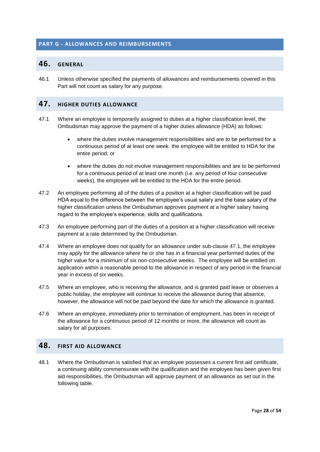#### <span id="page-32-1"></span><span id="page-32-0"></span>**PART G - ALLOWANCES AND REIMBURSEMENTS**

#### **46. GENERAL**

46.1 Unless otherwise specified the payments of allowances and reimbursements covered in this Part will not count as salary for any purpose.

## <span id="page-32-2"></span>**47. HIGHER DUTIES ALLOWANCE**

- 47.1 Where an employee is temporarily assigned to duties at a higher classification level, the Ombudsman may approve the payment of a higher duties allowance (HDA) as follows:
	- where the duties involve management responsibilities and are to be performed for a continuous period of at least one week the employee will be entitled to HDA for the entire period; or
	- where the duties do not involve management responsibilities and are to be performed for a continuous period of at least one month (i.e. any period of four consecutive weeks), the employee will be entitled to the HDA for the entire period.
- 47.2 An employee performing all of the duties of a position at a higher classification will be paid HDA equal to the difference between the employee's usual salary and the base salary of the higher classification unless the Ombudsman approves payment at a higher salary having regard to the employee's experience, skills and qualifications.
- 47.3 An employee performing part of the duties of a position at a higher classification will receive payment at a rate determined by the Ombudsman.
- 47.4 Where an employee does not qualify for an allowance under sub-clause 47.1, the employee may apply for the allowance where he or she has in a financial year performed duties of the higher value for a minimum of six non-consecutive weeks. The employee will be entitled on application within a reasonable period to the allowance in respect of any period in the financial year in excess of six weeks.
- 47.5 Where an employee, who is receiving the allowance, and is granted paid leave or observes a public holiday, the employee will continue to receive the allowance during that absence, however, the allowance will not be paid beyond the date for which the allowance is granted.
- <span id="page-32-3"></span>47.6 Where an employee, immediately prior to termination of employment, has been in receipt of the allowance for a continuous period of 12 months or more, the allowance will count as salary for all purposes.

## **48. FIRST AID ALLOWANCE**

48.1 Where the Ombudsman is satisfied that an employee possesses a current first aid certificate, a continuing ability commensurate with the qualification and the employee has been given first aid responsibilities, the Ombudsman will approve payment of an allowance as set out in the following table.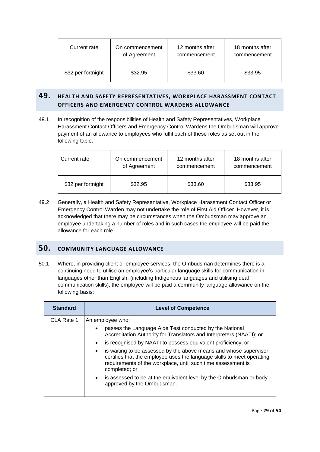| Current rate       | On commencement<br>of Agreement | 12 months after<br>commencement | 18 months after<br>commencement |
|--------------------|---------------------------------|---------------------------------|---------------------------------|
| \$32 per fortnight | \$32.95                         | \$33.60                         | \$33.95                         |

## <span id="page-33-0"></span>**49. HEALTH AND SAFETY REPRESENTATIVES, WORKPLACE HARASSMENT CONTACT OFFICERS AND EMERGENCY CONTROL WARDENS ALLOWANCE**

49.1 In recognition of the responsibilities of Health and Safety Representatives, Workplace Harassment Contact Officers and Emergency Control Wardens the Ombudsman will approve payment of an allowance to employees who fulfil each of these roles as set out in the following table.

| Current rate       | On commencement | 12 months after | 18 months after |
|--------------------|-----------------|-----------------|-----------------|
|                    | of Agreement    | commencement    | commencement    |
| \$32 per fortnight | \$32.95         | \$33.60         | \$33.95         |

49.2 Generally, a Health and Safety Representative, Workplace Harassment Contact Officer or Emergency Control Warden may not undertake the role of First Aid Officer. However, it is acknowledged that there may be circumstances when the Ombudsman may approve an employee undertaking a number of roles and in such cases the employee will be paid the allowance for each role.

## <span id="page-33-1"></span>**50. COMMUNITY LANGUAGE ALLOWANCE**

50.1 Where, in providing client or employee services, the Ombudsman determines there is a continuing need to utilise an employee's particular language skills for communication in languages other than English, (including Indigenous languages and utilising deaf communication skills), the employee will be paid a community language allowance on the following basis:

| <b>Standard</b> | <b>Level of Competence</b>                                                                                                                                                                                                   |  |
|-----------------|------------------------------------------------------------------------------------------------------------------------------------------------------------------------------------------------------------------------------|--|
| CLA Rate 1      | An employee who:                                                                                                                                                                                                             |  |
|                 | passes the Language Aide Test conducted by the National<br>Accreditation Authority for Translators and Interpreters (NAATI); or                                                                                              |  |
|                 | is recognised by NAATI to possess equivalent proficiency; or                                                                                                                                                                 |  |
|                 | is waiting to be assessed by the above means and whose supervisor<br>certifies that the employee uses the language skills to meet operating<br>requirements of the workplace, until such time assessment is<br>completed; or |  |
|                 | • is assessed to be at the equivalent level by the Ombudsman or body<br>approved by the Ombudsman.                                                                                                                           |  |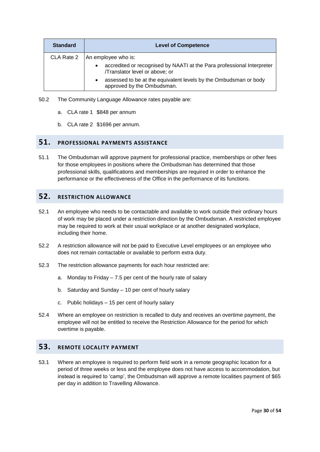| <b>Standard</b> | <b>Level of Competence</b>                                                                                            |  |
|-----------------|-----------------------------------------------------------------------------------------------------------------------|--|
| CLA Rate 2      | An employee who is:                                                                                                   |  |
|                 | accredited or recognised by NAATI at the Para professional Interpreter<br>$\bullet$<br>/Translator level or above; or |  |
|                 | assessed to be at the equivalent levels by the Ombudsman or body<br>٠<br>approved by the Ombudsman.                   |  |

- 50.2 The Community Language Allowance rates payable are:
	- a. CLA rate 1 \$848 per annum
	- b. CLA rate 2 \$1696 per annum.

## <span id="page-34-0"></span>**51. PROFESSIONAL PAYMENTS ASSISTANCE**

51.1 The Ombudsman will approve payment for professional practice, memberships or other fees for those employees in positions where the Ombudsman has determined that those professional skills, qualifications and memberships are required in order to enhance the performance or the effectiveness of the Office in the performance of its functions.

## <span id="page-34-1"></span>**52. RESTRICTION ALLOWANCE**

- 52.1 An employee who needs to be contactable and available to work outside their ordinary hours of work may be placed under a restriction direction by the Ombudsman. A restricted employee may be required to work at their usual workplace or at another designated workplace, including their home.
- 52.2 A restriction allowance will not be paid to Executive Level employees or an employee who does not remain contactable or available to perform extra duty.
- 52.3 The restriction allowance payments for each hour restricted are:
	- a. Monday to Friday 7.5 per cent of the hourly rate of salary
	- b. Saturday and Sunday 10 per cent of hourly salary
	- c. Public holidays 15 per cent of hourly salary
- 52.4 Where an employee on restriction is recalled to duty and receives an overtime payment, the employee will not be entitled to receive the Restriction Allowance for the period for which overtime is payable.

## **53. REMOTE LOCALITY PAYMENT**

53.1 Where an employee is required to perform field work in a remote geographic location for a period of three weeks or less and the employee does not have access to accommodation, but instead is required to 'camp', the Ombudsman will approve a remote localities payment of \$65 per day in addition to Travelling Allowance.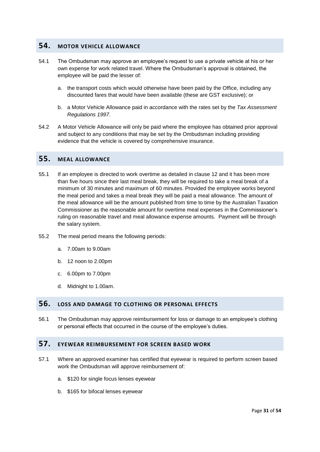#### <span id="page-35-0"></span>**54. MOTOR VEHICLE ALLOWANCE**

- 54.1 The Ombudsman may approve an employee's request to use a private vehicle at his or her own expense for work related travel. Where the Ombudsman's approval is obtained, the employee will be paid the lesser of:
	- a. the transport costs which would otherwise have been paid by the Office, including any discounted fares that would have been available (these are GST exclusive); or
	- b. a Motor Vehicle Allowance paid in accordance with the rates set by the *Tax Assessment Regulations 1997*.
- 54.2 A Motor Vehicle Allowance will only be paid where the employee has obtained prior approval and subject to any conditions that may be set by the Ombudsman including providing evidence that the vehicle is covered by comprehensive insurance.

#### <span id="page-35-1"></span>**55. MEAL ALLOWANCE**

- 55.1 If an employee is directed to work overtime as detailed in clause 12 and it has been more than five hours since their last meal break, they will be required to take a meal break of a minimum of 30 minutes and maximum of 60 minutes. Provided the employee works beyond the meal period and takes a meal break they will be paid a meal allowance. The amount of the meal allowance will be the amount published from time to time by the Australian Taxation Commissioner as the reasonable amount for overtime meal expenses in the Commissioner's ruling on reasonable travel and meal allowance expense amounts. Payment will be through the salary system.
- 55.2 The meal period means the following periods:
	- a. 7.00am to 9.00am
	- b. 12 noon to 2.00pm
	- c. 6.00pm to 7.00pm
	- d. Midnight to 1.00am.

#### <span id="page-35-2"></span>**56. LOSS AND DAMAGE TO CLOTHING OR PERSONAL EFFECTS**

56.1 The Ombudsman may approve reimbursement for loss or damage to an employee's clothing or personal effects that occurred in the course of the employee's duties.

## **57. EYEWEAR REIMBURSEMENT FOR SCREEN BASED WORK**

- <span id="page-35-3"></span>57.1 Where an approved examiner has certified that eyewear is required to perform screen based work the Ombudsman will approve reimbursement of:
	- a. \$120 for single focus lenses eyewear
	- b. \$165 for bifocal lenses eyewear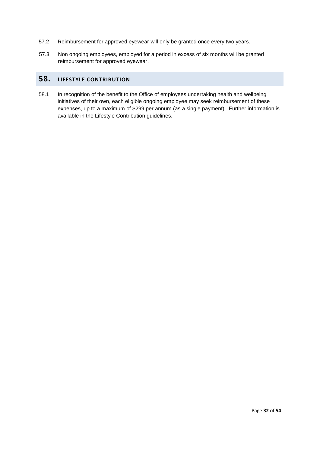- 57.2 Reimbursement for approved eyewear will only be granted once every two years.
- 57.3 Non ongoing employees, employed for a period in excess of six months will be granted reimbursement for approved eyewear.

## **58. LIFESTYLE CONTRIBUTION**

58.1 In recognition of the benefit to the Office of employees undertaking health and wellbeing initiatives of their own, each eligible ongoing employee may seek reimbursement of these expenses, up to a maximum of \$299 per annum (as a single payment). Further information is available in the Lifestyle Contribution guidelines.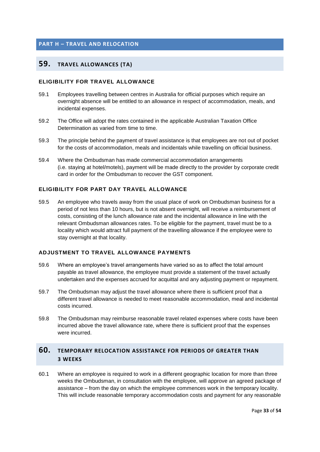#### **PART H – TRAVEL AND RELOCATION**

## **59. TRAVEL ALLOWANCES (TA)**

#### **ELIGIBILITY FOR TRAVEL ALLOWANCE**

- 59.1 Employees travelling between centres in Australia for official purposes which require an overnight absence will be entitled to an allowance in respect of accommodation, meals, and incidental expenses.
- 59.2 The Office will adopt the rates contained in the applicable Australian Taxation Office Determination as varied from time to time.
- 59.3 The principle behind the payment of travel assistance is that employees are not out of pocket for the costs of accommodation, meals and incidentals while travelling on official business.
- 59.4 Where the Ombudsman has made commercial accommodation arrangements (i.e. staying at hotel/motels), payment will be made directly to the provider by corporate credit card in order for the Ombudsman to recover the GST component.

#### **ELIGIBILITY FOR PART DAY TRAVEL ALLOWANCE**

59.5 An employee who travels away from the usual place of work on Ombudsman business for a period of not less than 10 hours, but is not absent overnight, will receive a reimbursement of costs, consisting of the lunch allowance rate and the incidental allowance in line with the relevant Ombudsman allowances rates. To be eligible for the payment, travel must be to a locality which would attract full payment of the travelling allowance if the employee were to stay overnight at that locality.

#### **ADJUSTMENT TO TRAVEL ALLOWANCE PAYMENTS**

- 59.6 Where an employee's travel arrangements have varied so as to affect the total amount payable as travel allowance, the employee must provide a statement of the travel actually undertaken and the expenses accrued for acquittal and any adjusting payment or repayment.
- 59.7 The Ombudsman may adjust the travel allowance where there is sufficient proof that a different travel allowance is needed to meet reasonable accommodation, meal and incidental costs incurred.
- 59.8 The Ombudsman may reimburse reasonable travel related expenses where costs have been incurred above the travel allowance rate, where there is sufficient proof that the expenses were incurred.

## **60. TEMPORARY RELOCATION ASSISTANCE FOR PERIODS OF GREATER THAN 3 WEEKS**

60.1 Where an employee is required to work in a different geographic location for more than three weeks the Ombudsman, in consultation with the employee, will approve an agreed package of assistance – from the day on which the employee commences work in the temporary locality. This will include reasonable temporary accommodation costs and payment for any reasonable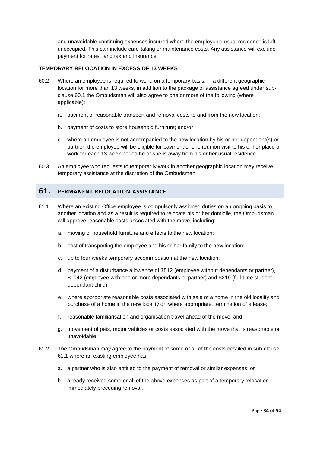and unavoidable continuing expenses incurred where the employee's usual residence is left unoccupied. This can include care-taking or maintenance costs. Any assistance will exclude payment for rates, land tax and insurance.

#### **TEMPORARY RELOCATION IN EXCESS OF 13 WEEKS**

- 60.2 Where an employee is required to work, on a temporary basis, in a different geographic location for more than 13 weeks, in addition to the package of assistance agreed under subclause 60.1 the Ombudsman will also agree to one or more of the following (where applicable):
	- a. payment of reasonable transport and removal costs to and from the new location;
	- b. payment of costs to store household furniture; and/or
	- c. where an employee is not accompanied to the new location by his or her dependant(s) or partner, the employee will be eligible for payment of one reunion visit to his or her place of work for each 13 week period he or she is away from his or her usual residence.
- 60.3 An employee who requests to temporarily work in another geographic location may receive temporary assistance at the discretion of the Ombudsman.

## <span id="page-38-0"></span>**61. PERMANENT RELOCATION ASSISTANCE**

- 61.1 Where an existing Office employee is compulsorily assigned duties on an ongoing basis to another location and as a result is required to relocate his or her domicile, the Ombudsman will approve reasonable costs associated with the move, including:
	- a. moving of household furniture and effects to the new location;
	- b. cost of transporting the employee and his or her family to the new location;
	- c. up to four weeks temporary accommodation at the new location;
	- d. payment of a disturbance allowance of \$512 (employee without dependants or partner), \$1042 (employee with one or more dependants or partner) and \$219 (full-time student dependant child);
	- e. where appropriate reasonable costs associated with sale of a home in the old locality and purchase of a home in the new locality or, where appropriate, termination of a lease;
	- f. reasonable familiarisation and organisation travel ahead of the move; and
	- g. movement of pets, motor vehicles or costs associated with the move that is reasonable or unavoidable.
- 61.2 The Ombudsman may agree to the payment of some or all of the costs detailed in sub-clause 61.1 where an existing employee has:
	- a. a partner who is also entitled to the payment of removal or similar expenses; or
	- b. already received some or all of the above expenses as part of a temporary relocation immediately preceding removal.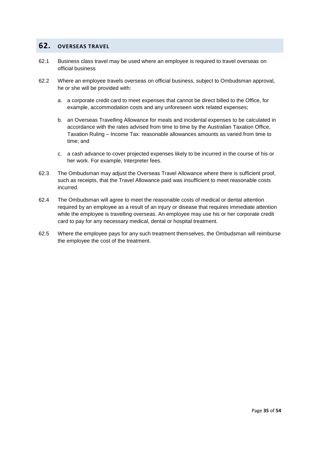## **62. OVERSEAS TRAVEL**

- 62.1 Business class travel may be used where an employee is required to travel overseas on official business
- 62.2 Where an employee travels overseas on official business, subject to Ombudsman approval, he or she will be provided with:
	- a. a corporate credit card to meet expenses that cannot be direct billed to the Office, for example, accommodation costs and any unforeseen work related expenses;
	- b. an Overseas Travelling Allowance for meals and incidental expenses to be calculated in accordance with the rates advised from time to time by the Australian Taxation Office, Taxation Ruling – Income Tax: reasonable allowances amounts as varied from time to time; and
	- c. a cash advance to cover projected expenses likely to be incurred in the course of his or her work. For example, Interpreter fees.
- 62.3 The Ombudsman may adjust the Overseas Travel Allowance where there is sufficient proof, such as receipts, that the Travel Allowance paid was insufficient to meet reasonable costs incurred.
- 62.4 The Ombudsman will agree to meet the reasonable costs of medical or dental attention required by an employee as a result of an injury or disease that requires immediate attention while the employee is travelling overseas. An employee may use his or her corporate credit card to pay for any necessary medical, dental or hospital treatment.
- 62.5 Where the employee pays for any such treatment themselves, the Ombudsman will reimburse the employee the cost of the treatment.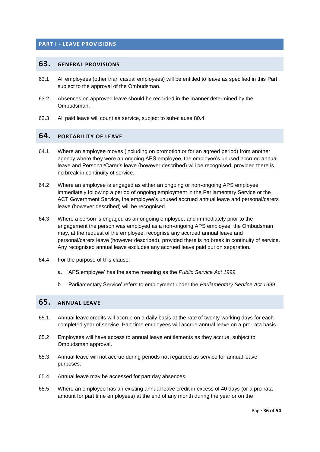#### <span id="page-40-1"></span><span id="page-40-0"></span>**PART I - LEAVE PROVISIONS**

#### **63. GENERAL PROVISIONS**

- 63.1 All employees (other than casual employees) will be entitled to leave as specified in this Part, subject to the approval of the Ombudsman.
- 63.2 Absences on approved leave should be recorded in the manner determined by the Ombudsman.
- 63.3 All paid leave will count as service, subject to sub-clause 80.4.

#### <span id="page-40-2"></span>**64. PORTABILITY OF LEAVE**

- 64.1 Where an employee moves (including on promotion or for an agreed period) from another agency where they were an ongoing APS employee, the employee's unused accrued annual leave and Personal/Carer's leave (however described) will be recognised, provided there is no break in continuity of service.
- 64.2 Where an employee is engaged as either an ongoing or non-ongoing APS employee immediately following a period of ongoing employment in the Parliamentary Service or the ACT Government Service, the employee's unused accrued annual leave and personal/carers leave (however described) will be recognised.
- 64.3 Where a person is engaged as an ongoing employee, and immediately prior to the engagement the person was employed as a non-ongoing APS employee, the Ombudsman may, at the request of the employee, recognise any accrued annual leave and personal/carers leave (however described), provided there is no break in continuity of service. Any recognised annual leave excludes any accrued leave paid out on separation.
- 64.4 For the purpose of this clause:
	- a. 'APS employee' has the same meaning as the *Public Service Act 1999.*
	- b. 'Parliamentary Service' refers to employment under the *Parliamentary Service Act 1999.*

## <span id="page-40-3"></span>**65. ANNUAL LEAVE**

- 65.1 Annual leave credits will accrue on a daily basis at the rate of twenty working days for each completed year of service. Part time employees will accrue annual leave on a pro-rata basis.
- 65.2 Employees will have access to annual leave entitlements as they accrue, subject to Ombudsman approval.
- 65.3 Annual leave will not accrue during periods not regarded as service for annual leave purposes.
- 65.4 Annual leave may be accessed for part day absences.
- 65.5 Where an employee has an existing annual leave credit in excess of 40 days (or a pro-rata amount for part time employees) at the end of any month during the year or on the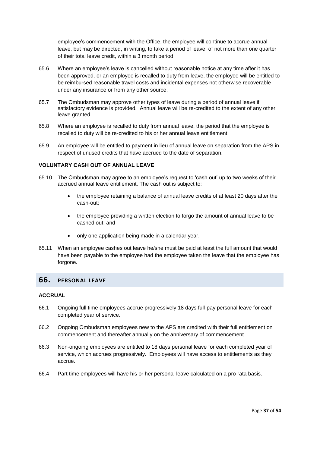employee's commencement with the Office, the employee will continue to accrue annual leave, but may be directed, in writing, to take a period of leave, of not more than one quarter of their total leave credit, within a 3 month period.

- 65.6 Where an employee's leave is cancelled without reasonable notice at any time after it has been approved, or an employee is recalled to duty from leave, the employee will be entitled to be reimbursed reasonable travel costs and incidental expenses not otherwise recoverable under any insurance or from any other source.
- 65.7 The Ombudsman may approve other types of leave during a period of annual leave if satisfactory evidence is provided. Annual leave will be re-credited to the extent of any other leave granted.
- 65.8 Where an employee is recalled to duty from annual leave, the period that the employee is recalled to duty will be re-credited to his or her annual leave entitlement.
- 65.9 An employee will be entitled to payment in lieu of annual leave on separation from the APS in respect of unused credits that have accrued to the date of separation.

#### **VOLUNTARY CASH OUT OF ANNUAL LEAVE**

- 65.10 The Ombudsman may agree to an employee's request to 'cash out' up to two weeks of their accrued annual leave entitlement. The cash out is subject to:
	- the employee retaining a balance of annual leave credits of at least 20 days after the cash-out;
	- the employee providing a written election to forgo the amount of annual leave to be cashed out; and
	- only one application being made in a calendar year.
- 65.11 When an employee cashes out leave he/she must be paid at least the full amount that would have been payable to the employee had the employee taken the leave that the employee has forgone.

#### <span id="page-41-0"></span>**66. PERSONAL LEAVE**

#### **ACCRUAL**

- 66.1 Ongoing full time employees accrue progressively 18 days full-pay personal leave for each completed year of service.
- 66.2 Ongoing Ombudsman employees new to the APS are credited with their full entitlement on commencement and thereafter annually on the anniversary of commencement.
- 66.3 Non-ongoing employees are entitled to 18 days personal leave for each completed year of service, which accrues progressively. Employees will have access to entitlements as they accrue.
- 66.4 Part time employees will have his or her personal leave calculated on a pro rata basis.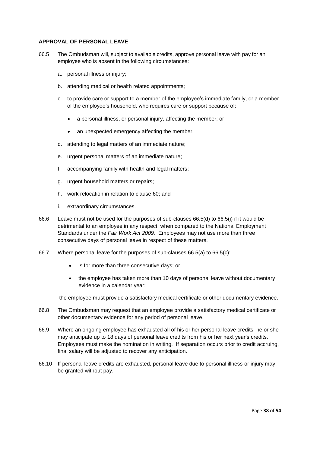#### **APPROVAL OF PERSONAL LEAVE**

- 66.5 The Ombudsman will, subject to available credits, approve personal leave with pay for an employee who is absent in the following circumstances:
	- a. personal illness or injury;
	- b. attending medical or health related appointments;
	- c. to provide care or support to a member of the employee's immediate family, or a member of the employee's household, who requires care or support because of:
		- a personal illness, or personal injury, affecting the member; or
		- an unexpected emergency affecting the member.
	- d. attending to legal matters of an immediate nature;
	- e. urgent personal matters of an immediate nature;
	- f. accompanying family with health and legal matters;
	- g. urgent household matters or repairs;
	- h. work relocation in relation to clause 60; and
	- i. extraordinary circumstances.
- 66.6 Leave must not be used for the purposes of sub-clauses 66.5(d) to 66.5(i) if it would be detrimental to an employee in any respect, when compared to the National Employment Standards under the *Fair Work Act 2009.* Employees may not use more than three consecutive days of personal leave in respect of these matters.
- 66.7 Where personal leave for the purposes of sub-clauses 66.5(a) to 66.5(c):
	- is for more than three consecutive days; or
	- the employee has taken more than 10 days of personal leave without documentary evidence in a calendar year;

the employee must provide a satisfactory medical certificate or other documentary evidence.

- 66.8 The Ombudsman may request that an employee provide a satisfactory medical certificate or other documentary evidence for any period of personal leave.
- 66.9 Where an ongoing employee has exhausted all of his or her personal leave credits, he or she may anticipate up to 18 days of personal leave credits from his or her next year's credits. Employees must make the nomination in writing. If separation occurs prior to credit accruing, final salary will be adjusted to recover any anticipation.
- 66.10 If personal leave credits are exhausted, personal leave due to personal illness or injury may be granted without pay.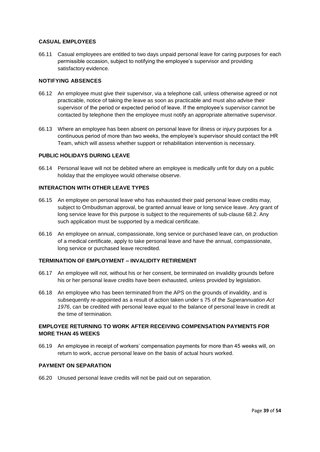#### **CASUAL EMPLOYEES**

66.11 Casual employees are entitled to two days unpaid personal leave for caring purposes for each permissible occasion, subject to notifying the employee's supervisor and providing satisfactory evidence.

#### **NOTIFYING ABSENCES**

- 66.12 An employee must give their supervisor, via a telephone call, unless otherwise agreed or not practicable, notice of taking the leave as soon as practicable and must also advise their supervisor of the period or expected period of leave. If the employee's supervisor cannot be contacted by telephone then the employee must notify an appropriate alternative supervisor.
- 66.13 Where an employee has been absent on personal leave for illness or injury purposes for a continuous period of more than two weeks, the employee's supervisor should contact the HR Team, which will assess whether support or rehabilitation intervention is necessary.

#### **PUBLIC HOLIDAYS DURING LEAVE**

66.14 Personal leave will not be debited where an employee is medically unfit for duty on a public holiday that the employee would otherwise observe.

#### **INTERACTION WITH OTHER LEAVE TYPES**

- 66.15 An employee on personal leave who has exhausted their paid personal leave credits may, subject to Ombudsman approval, be granted annual leave or long service leave. Any grant of long service leave for this purpose is subject to the requirements of sub-clause 68.2. Any such application must be supported by a medical certificate.
- 66.16 An employee on annual, compassionate, long service or purchased leave can, on production of a medical certificate, apply to take personal leave and have the annual, compassionate, long service or purchased leave recredited.

#### **TERMINATION OF EMPLOYMENT – INVALIDITY RETIREMENT**

- 66.17 An employee will not, without his or her consent, be terminated on invalidity grounds before his or her personal leave credits have been exhausted, unless provided by legislation.
- 66.18 An employee who has been terminated from the APS on the grounds of invalidity, and is subsequently re-appointed as a result of action taken under s 75 of the *Superannuation Act 1976*, can be credited with personal leave equal to the balance of personal leave in credit at the time of termination.

#### **EMPLOYEE RETURNING TO WORK AFTER RECEIVING COMPENSATION PAYMENTS FOR MORE THAN 45 WEEKS**

66.19 An employee in receipt of workers' compensation payments for more than 45 weeks will, on return to work, accrue personal leave on the basis of actual hours worked.

#### **PAYMENT ON SEPARATION**

66.20 Unused personal leave credits will not be paid out on separation.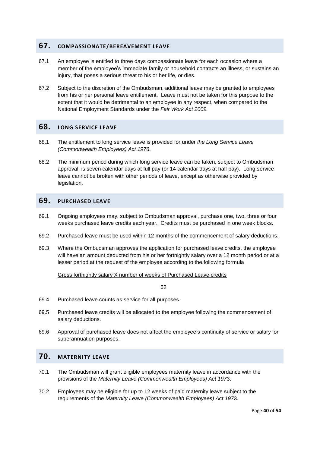#### <span id="page-44-0"></span>**67. COMPASSIONATE/BEREAVEMENT LEAVE**

- 67.1 An employee is entitled to three days compassionate leave for each occasion where a member of the employee's immediate family or household contracts an illness, or sustains an injury, that poses a serious threat to his or her life, or dies.
- 67.2 Subject to the discretion of the Ombudsman, additional leave may be granted to employees from his or her personal leave entitlement. Leave must not be taken for this purpose to the extent that it would be detrimental to an employee in any respect, when compared to the National Employment Standards under the *Fair Work Act 2009.*

## <span id="page-44-1"></span>**68. LONG SERVICE LEAVE**

- 68.1 The entitlement to long service leave is provided for under *the Long Service Leave (Commonwealth Employees) Act 1976*.
- 68.2 The minimum period during which long service leave can be taken, subject to Ombudsman approval, is seven calendar days at full pay (or 14 calendar days at half pay). Long service leave cannot be broken with other periods of leave, except as otherwise provided by legislation.

#### **69. PURCHASED LEAVE**

- 69.1 Ongoing employees may, subject to Ombudsman approval, purchase one, two, three or four weeks purchased leave credits each year. Credits must be purchased in one week blocks.
- 69.2 Purchased leave must be used within 12 months of the commencement of salary deductions.
- 69.3 Where the Ombudsman approves the application for purchased leave credits, the employee will have an amount deducted from his or her fortnightly salary over a 12 month period or at a lesser period at the request of the employee according to the following formula

Gross fortnightly salary X number of weeks of Purchased Leave credits

52

- 69.4 Purchased leave counts as service for all purposes.
- 69.5 Purchased leave credits will be allocated to the employee following the commencement of salary deductions.
- 69.6 Approval of purchased leave does not affect the employee's continuity of service or salary for superannuation purposes.

## <span id="page-44-2"></span>**70. MATERNITY LEAVE**

- 70.1 The Ombudsman will grant eligible employees maternity leave in accordance with the provisions of the *Maternity Leave (Commonwealth Employees) Act 197*3.
- 70.2 Employees may be eligible for up to 12 weeks of paid maternity leave subject to the requirements of the *Maternity Leave (Commonwealth Employees) Act 197*3.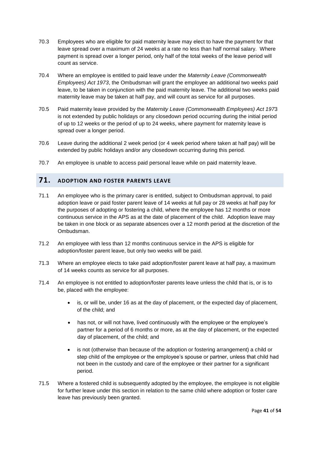- 70.3 Employees who are eligible for paid maternity leave may elect to have the payment for that leave spread over a maximum of 24 weeks at a rate no less than half normal salary. Where payment is spread over a longer period, only half of the total weeks of the leave period will count as service.
- 70.4 Where an employee is entitled to paid leave under the *Maternity Leave (Commonwealth Employees) Act 1973*, the Ombudsman will grant the employee an additional two weeks paid leave, to be taken in conjunction with the paid maternity leave. The additional two weeks paid maternity leave may be taken at half pay, and will count as service for all purposes.
- 70.5 Paid maternity leave provided by the *Maternity Leave (Commonwealth Employees) Act 197*3 is not extended by public holidays or any closedown period occurring during the initial period of up to 12 weeks or the period of up to 24 weeks, where payment for maternity leave is spread over a longer period.
- 70.6 Leave during the additional 2 week period (or 4 week period where taken at half pay) will be extended by public holidays and/or any closedown occurring during this period.
- 70.7 An employee is unable to access paid personal leave while on paid maternity leave.

## <span id="page-45-0"></span>**71. ADOPTION AND FOSTER PARENTS LEAVE**

- 71.1 An employee who is the primary carer is entitled, subject to Ombudsman approval, to paid adoption leave or paid foster parent leave of 14 weeks at full pay or 28 weeks at half pay for the purposes of adopting or fostering a child, where the employee has 12 months or more continuous service in the APS as at the date of placement of the child. Adoption leave may be taken in one block or as separate absences over a 12 month period at the discretion of the Ombudsman.
- 71.2 An employee with less than 12 months continuous service in the APS is eligible for adoption/foster parent leave, but only two weeks will be paid.
- 71.3 Where an employee elects to take paid adoption/foster parent leave at half pay, a maximum of 14 weeks counts as service for all purposes.
- 71.4 An employee is not entitled to adoption/foster parents leave unless the child that is, or is to be, placed with the employee:
	- is, or will be, under 16 as at the day of placement, or the expected day of placement, of the child; and
	- has not, or will not have, lived continuously with the employee or the employee's partner for a period of 6 months or more, as at the day of placement, or the expected day of placement, of the child; and
	- is not (otherwise than because of the adoption or fostering arrangement) a child or step child of the employee or the employee's spouse or partner, unless that child had not been in the custody and care of the employee or their partner for a significant period.
- 71.5 Where a fostered child is subsequently adopted by the employee, the employee is not eligible for further leave under this section in relation to the same child where adoption or foster care leave has previously been granted.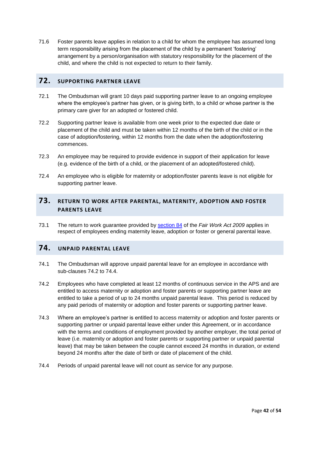71.6 Foster parents leave applies in relation to a child for whom the employee has assumed long term responsibility arising from the placement of the child by a permanent 'fostering' arrangement by a person/organisation with statutory responsibility for the placement of the child, and where the child is not expected to return to their family.

## <span id="page-46-0"></span>**72. SUPPORTING PARTNER LEAVE**

- 72.1 The Ombudsman will grant 10 days paid supporting partner leave to an ongoing employee where the employee's partner has given, or is giving birth, to a child or whose partner is the primary care giver for an adopted or fostered child.
- 72.2 Supporting partner leave is available from one week prior to the expected due date or placement of the child and must be taken within 12 months of the birth of the child or in the case of adoption/fostering, within 12 months from the date when the adoption/fostering commences.
- 72.3 An employee may be required to provide evidence in support of their application for leave (e.g. evidence of the birth of a child, or the placement of an adopted/fostered child).
- 72.4 An employee who is eligible for maternity or adoption/foster parents leave is not eligible for supporting partner leave.

## <span id="page-46-1"></span>**73. RETURN TO WORK AFTER PARENTAL, MATERNITY, ADOPTION AND FOSTER PARENTS LEAVE**

73.1 The return to work guarantee provided by [section 84](https://www.fwc.gov.au/documents/documents/legislation/fw_act/FW_Act-01.htm#P2137_202355) of the *Fair Work Act 2009* applies in respect of employees ending maternity leave, adoption or foster or general parental leave.

## **74. UNPAID PARENTAL LEAVE**

- 74.1 The Ombudsman will approve unpaid parental leave for an employee in accordance with sub-clauses 74.2 to 74.4.
- 74.2 Employees who have completed at least 12 months of continuous service in the APS and are entitled to access maternity or adoption and foster parents or supporting partner leave are entitled to take a period of up to 24 months unpaid parental leave. This period is reduced by any paid periods of maternity or adoption and foster parents or supporting partner leave.
- 74.3 Where an employee's partner is entitled to access maternity or adoption and foster parents or supporting partner or unpaid parental leave either under this Agreement, or in accordance with the terms and conditions of employment provided by another employer, the total period of leave (i.e. maternity or adoption and foster parents or supporting partner or unpaid parental leave) that may be taken between the couple cannot exceed 24 months in duration, or extend beyond 24 months after the date of birth or date of placement of the child.
- 74.4 Periods of unpaid parental leave will not count as service for any purpose.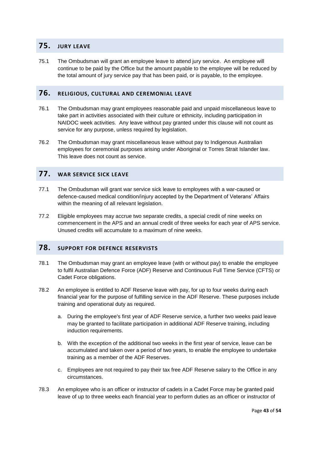#### <span id="page-47-0"></span>**75. JURY LEAVE**

75.1 The Ombudsman will grant an employee leave to attend jury service. An employee will continue to be paid by the Office but the amount payable to the employee will be reduced by the total amount of jury service pay that has been paid, or is payable, to the employee.

## <span id="page-47-1"></span>**76. RELIGIOUS, CULTURAL AND CEREMONIAL LEAVE**

- 76.1 The Ombudsman may grant employees reasonable paid and unpaid miscellaneous leave to take part in activities associated with their culture or ethnicity, including participation in NAIDOC week activities. Any leave without pay granted under this clause will not count as service for any purpose, unless required by legislation.
- 76.2 The Ombudsman may grant miscellaneous leave without pay to Indigenous Australian employees for ceremonial purposes arising under Aboriginal or Torres Strait Islander law. This leave does not count as service.

## <span id="page-47-2"></span>**77. WAR SERVICE SICK LEAVE**

- 77.1 The Ombudsman will grant war service sick leave to employees with a war-caused or defence-caused medical condition/injury accepted by the Department of Veterans' Affairs within the meaning of all relevant legislation.
- 77.2 Eligible employees may accrue two separate credits, a special credit of nine weeks on commencement in the APS and an annual credit of three weeks for each year of APS service. Unused credits will accumulate to a maximum of nine weeks.

#### <span id="page-47-3"></span>**78. SUPPORT FOR DEFENCE RESERVISTS**

- 78.1 The Ombudsman may grant an employee leave (with or without pay) to enable the employee to fulfil Australian Defence Force (ADF) Reserve and Continuous Full Time Service (CFTS) or Cadet Force obligations.
- 78.2 An employee is entitled to ADF Reserve leave with pay, for up to four weeks during each financial year for the purpose of fulfilling service in the ADF Reserve. These purposes include training and operational duty as required.
	- a. During the employee's first year of ADF Reserve service, a further two weeks paid leave may be granted to facilitate participation in additional ADF Reserve training, including induction requirements.
	- b. With the exception of the additional two weeks in the first year of service, leave can be accumulated and taken over a period of two years, to enable the employee to undertake training as a member of the ADF Reserves.
	- c. Employees are not required to pay their tax free ADF Reserve salary to the Office in any circumstances.
- 78.3 An employee who is an officer or instructor of cadets in a Cadet Force may be granted paid leave of up to three weeks each financial year to perform duties as an officer or instructor of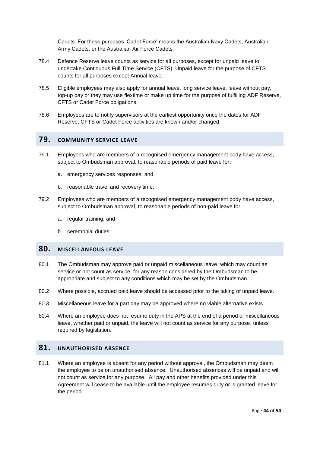Cadets. For these purposes 'Cadet Force' means the Australian Navy Cadets, Australian Army Cadets, or the Australian Air Force Cadets.

- 78.4 Defence Reserve leave counts as service for all purposes, except for unpaid leave to undertake Continuous Full Time Service (CFTS). Unpaid leave for the purpose of CFTS counts for all purposes except Annual leave.
- 78.5 Eligible employees may also apply for annual leave, long service leave, leave without pay, top-up pay or they may use flextime or make up time for the purpose of fulfilling ADF Reserve, CFTS or Cadet Force obligations.
- 78.6 Employees are to notify supervisors at the earliest opportunity once the dates for ADF Reserve, CFTS or Cadet Force activities are known and/or changed.

## <span id="page-48-0"></span>**79. COMMUNITY SERVICE LEAVE**

- 79.1 Employees who are members of a recognised emergency management body have access, subject to Ombudsman approval, to reasonable periods of paid leave for:
	- a. emergency services responses; and
	- b. reasonable travel and recovery time.
- 79.2 Employees who are members of a recognised emergency management body have access, subject to Ombudsman approval, to reasonable periods of non-paid leave for:
	- a. regular training; and
	- b. ceremonial duties.

#### <span id="page-48-1"></span>**80. MISCELLANEOUS LEAVE**

- 80.1 The Ombudsman may approve paid or unpaid miscellaneous leave, which may count as service or not count as service, for any reason considered by the Ombudsman to be appropriate and subject to any conditions which may be set by the Ombudsman.
- 80.2 Where possible, accrued paid leave should be accessed prior to the taking of unpaid leave.
- 80.3 Miscellaneous leave for a part day may be approved where no viable alternative exists.
- 80.4 Where an employee does not resume duty in the APS at the end of a period of miscellaneous leave, whether paid or unpaid, the leave will not count as service for any purpose, unless required by legislation.

## <span id="page-48-2"></span>**81. UNAUTHORISED ABSENCE**

81.1 Where an employee is absent for any period without approval, the Ombudsman may deem the employee to be on unauthorised absence. Unauthorised absences will be unpaid and will not count as service for any purpose. All pay and other benefits provided under this Agreement will cease to be available until the employee resumes duty or is granted leave for the period.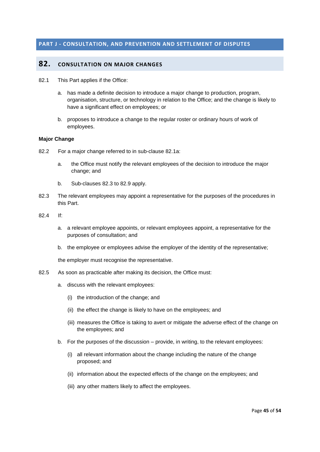#### <span id="page-49-1"></span><span id="page-49-0"></span>**PART J - CONSULTATION, AND PREVENTION AND SETTLEMENT OF DISPUTES**

#### **82. CONSULTATION ON MAJOR CHANGES**

- 82.1 This Part applies if the Office:
	- a. has made a definite decision to introduce a major change to production, program, organisation, structure, or technology in relation to the Office; and the change is likely to have a significant effect on employees; or
	- b. proposes to introduce a change to the regular roster or ordinary hours of work of employees.

#### **Major Change**

- 82.2 For a major change referred to in sub-clause 82.1a:
	- a. the Office must notify the relevant employees of the decision to introduce the major change; and
	- b. Sub-clauses 82.3 to 82.9 apply.
- 82.3 The relevant employees may appoint a representative for the purposes of the procedures in this Part.
- 82.4 If:
	- a. a relevant employee appoints, or relevant employees appoint, a representative for the purposes of consultation; and
	- b. the employee or employees advise the employer of the identity of the representative;

the employer must recognise the representative.

- 82.5 As soon as practicable after making its decision, the Office must:
	- a. discuss with the relevant employees:
		- (i) the introduction of the change; and
		- (ii) the effect the change is likely to have on the employees; and
		- (iii) measures the Office is taking to avert or mitigate the adverse effect of the change on the employees; and
	- b. For the purposes of the discussion provide, in writing, to the relevant employees:
		- (i) all relevant information about the change including the nature of the change proposed; and
		- (ii) information about the expected effects of the change on the employees; and
		- (iii) any other matters likely to affect the employees.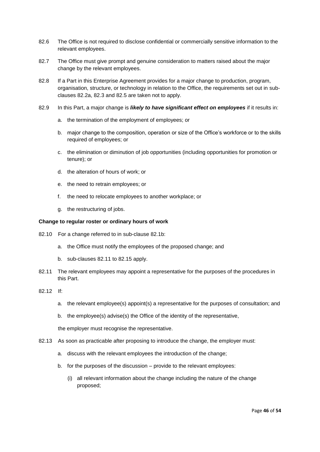- 82.6 The Office is not required to disclose confidential or commercially sensitive information to the relevant employees.
- 82.7 The Office must give prompt and genuine consideration to matters raised about the major change by the relevant employees.
- 82.8 If a Part in this Enterprise Agreement provides for a major change to production, program, organisation, structure, or technology in relation to the Office, the requirements set out in subclauses 82.2a, 82.3 and 82.5 are taken not to apply.
- 82.9 In this Part, a major change is *likely to have significant effect on employees* if it results in:
	- a. the termination of the employment of employees; or
	- b. major change to the composition, operation or size of the Office's workforce or to the skills required of employees; or
	- c. the elimination or diminution of job opportunities (including opportunities for promotion or tenure); or
	- d. the alteration of hours of work; or
	- e. the need to retrain employees; or
	- f. the need to relocate employees to another workplace; or
	- g. the restructuring of jobs.

#### **Change to regular roster or ordinary hours of work**

- 82.10 For a change referred to in sub-clause 82.1b:
	- a. the Office must notify the employees of the proposed change; and
	- b. sub-clauses 82.11 to 82.15 apply.
- 82.11 The relevant employees may appoint a representative for the purposes of the procedures in this Part.
- 82.12 If:
	- a. the relevant employee(s) appoint(s) a representative for the purposes of consultation; and
	- b. the employee(s) advise(s) the Office of the identity of the representative,

the employer must recognise the representative.

- 82.13 As soon as practicable after proposing to introduce the change, the employer must:
	- a. discuss with the relevant employees the introduction of the change;
	- b. for the purposes of the discussion provide to the relevant employees:
		- (i) all relevant information about the change including the nature of the change proposed;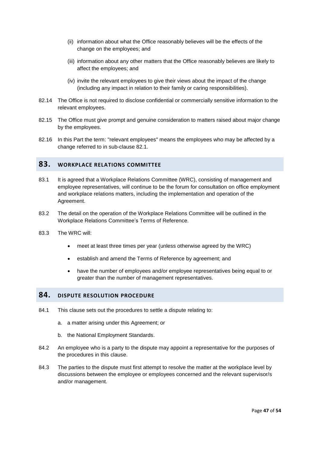- (ii) information about what the Office reasonably believes will be the effects of the change on the employees; and
- (iii) information about any other matters that the Office reasonably believes are likely to affect the employees; and
- (iv) invite the relevant employees to give their views about the impact of the change (including any impact in relation to their family or caring responsibilities).
- 82.14 The Office is not required to disclose confidential or commercially sensitive information to the relevant employees.
- 82.15 The Office must give prompt and genuine consideration to matters raised about major change by the employees.
- 82.16 In this Part the term: "relevant employees" means the employees who may be affected by a change referred to in sub-clause 82.1.

#### <span id="page-51-0"></span>**83. WORKPLACE RELATIONS COMMITTEE**

- 83.1 It is agreed that a Workplace Relations Committee (WRC), consisting of management and employee representatives, will continue to be the forum for consultation on office employment and workplace relations matters, including the implementation and operation of the Agreement.
- 83.2 The detail on the operation of the Workplace Relations Committee will be outlined in the Workplace Relations Committee's Terms of Reference.
- 83.3 The WRC will:
	- meet at least three times per year (unless otherwise agreed by the WRC)
	- establish and amend the Terms of Reference by agreement; and
	- have the number of employees and/or employee representatives being equal to or greater than the number of management representatives.

#### <span id="page-51-1"></span>**84. DISPUTE RESOLUTION PROCEDURE**

- 84.1 This clause sets out the procedures to settle a dispute relating to:
	- a. a matter arising under this Agreement; or
	- b. the National Employment Standards.
- 84.2 An employee who is a party to the dispute may appoint a representative for the purposes of the procedures in this clause.
- 84.3 The parties to the dispute must first attempt to resolve the matter at the workplace level by discussions between the employee or employees concerned and the relevant supervisor/s and/or management.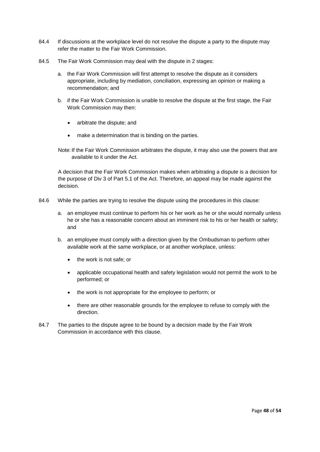- 84.4 If discussions at the workplace level do not resolve the dispute a party to the dispute may refer the matter to the Fair Work Commission.
- 84.5 The Fair Work Commission may deal with the dispute in 2 stages:
	- a. the Fair Work Commission will first attempt to resolve the dispute as it considers appropriate, including by mediation, conciliation, expressing an opinion or making a recommendation; and
	- b. if the Fair Work Commission is unable to resolve the dispute at the first stage, the Fair Work Commission may then:
		- arbitrate the dispute; and
		- make a determination that is binding on the parties.

Note: If the Fair Work Commission arbitrates the dispute, it may also use the powers that are available to it under the Act.

A decision that the Fair Work Commission makes when arbitrating a dispute is a decision for the purpose of Div 3 of Part 5.1 of the Act. Therefore, an appeal may be made against the decision.

- 84.6 While the parties are trying to resolve the dispute using the procedures in this clause:
	- a. an employee must continue to perform his or her work as he or she would normally unless he or she has a reasonable concern about an imminent risk to his or her health or safety; and
	- b. an employee must comply with a direction given by the Ombudsman to perform other available work at the same workplace, or at another workplace, unless:
		- the work is not safe; or
		- applicable occupational health and safety legislation would not permit the work to be performed; or
		- the work is not appropriate for the employee to perform; or
		- there are other reasonable grounds for the employee to refuse to comply with the direction.
- 84.7 The parties to the dispute agree to be bound by a decision made by the Fair Work Commission in accordance with this clause.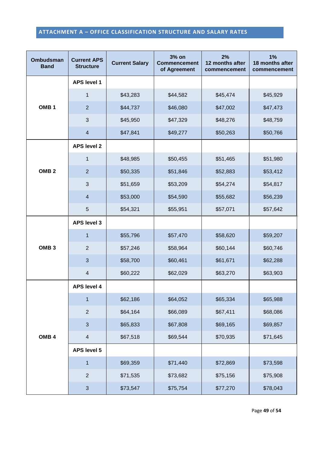## <span id="page-53-0"></span>**ATTACHMENT A – OFFICE CLASSIFICATION STRUCTURE AND SALARY RATES**

| <b>Ombudsman</b><br><b>Band</b> | <b>Current APS</b><br><b>Structure</b> | <b>Current Salary</b> | 3% on<br><b>Commencement</b><br>of Agreement | 2%<br>12 months after<br>commencement | 1%<br>18 months after<br>commencement |
|---------------------------------|----------------------------------------|-----------------------|----------------------------------------------|---------------------------------------|---------------------------------------|
|                                 | <b>APS level 1</b>                     |                       |                                              |                                       |                                       |
| OMB <sub>1</sub>                | $\mathbf{1}$                           | \$43,283              | \$44,582                                     | \$45,474                              | \$45,929                              |
|                                 | $\overline{2}$                         | \$44,737              | \$46,080                                     | \$47,002                              | \$47,473                              |
|                                 | 3                                      | \$45,950              | \$47,329                                     | \$48,276                              | \$48,759                              |
|                                 | $\overline{4}$                         | \$47,841              | \$49,277                                     | \$50,263                              | \$50,766                              |
|                                 | <b>APS level 2</b>                     |                       |                                              |                                       |                                       |
|                                 | $\mathbf{1}$                           | \$48,985              | \$50,455                                     | \$51,465                              | \$51,980                              |
| OMB <sub>2</sub>                | $\overline{2}$                         | \$50,335              | \$51,846                                     | \$52,883                              | \$53,412                              |
|                                 | 3                                      | \$51,659              | \$53,209                                     | \$54,274                              | \$54,817                              |
|                                 | $\overline{4}$                         | \$53,000              | \$54,590                                     | \$55,682                              | \$56,239                              |
|                                 | 5                                      | \$54,321              | \$55,951                                     | \$57,071                              | \$57,642                              |
| OMB <sub>3</sub>                | <b>APS level 3</b>                     |                       |                                              |                                       |                                       |
|                                 | $\mathbf{1}$                           | \$55,796              | \$57,470                                     | \$58,620                              | \$59,207                              |
|                                 | $\overline{2}$                         | \$57,246              | \$58,964                                     | \$60,144                              | \$60,746                              |
|                                 | 3                                      | \$58,700              | \$60,461                                     | \$61,671                              | \$62,288                              |
|                                 | $\overline{4}$                         | \$60,222              | \$62,029                                     | \$63,270                              | \$63,903                              |
|                                 | <b>APS level 4</b>                     |                       |                                              |                                       |                                       |
| OMB <sub>4</sub>                | $\mathbf{1}$                           | \$62,186              | \$64,052                                     | \$65,334                              | \$65,988                              |
|                                 | $\mathbf{2}$                           | \$64,164              | \$66,089                                     | \$67,411                              | \$68,086                              |
|                                 | $\sqrt{3}$                             | \$65,833              | \$67,808                                     | \$69,165                              | \$69,857                              |
|                                 | $\overline{4}$                         | \$67,518              | \$69,544                                     | \$70,935                              | \$71,645                              |
|                                 | <b>APS level 5</b>                     |                       |                                              |                                       |                                       |
|                                 | $\mathbf{1}$                           | \$69,359              | \$71,440                                     | \$72,869                              | \$73,598                              |
|                                 | $\mathbf{2}$                           | \$71,535              | \$73,682                                     | \$75,156                              | \$75,908                              |
|                                 | $\sqrt{3}$                             | \$73,547              | \$75,754                                     | \$77,270                              | \$78,043                              |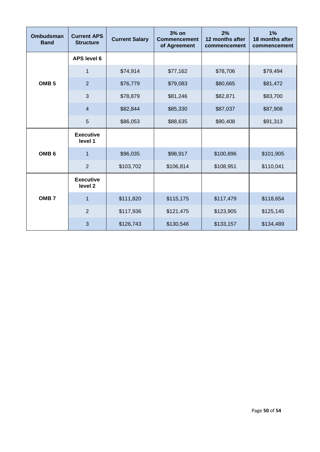| <b>Ombudsman</b><br><b>Band</b> | <b>Current APS</b><br><b>Structure</b> | <b>Current Salary</b> | 3% on<br><b>Commencement</b><br>of Agreement | 2%<br>12 months after<br>commencement | 1%<br>18 months after<br>commencement |
|---------------------------------|----------------------------------------|-----------------------|----------------------------------------------|---------------------------------------|---------------------------------------|
|                                 | <b>APS level 6</b>                     |                       |                                              |                                       |                                       |
|                                 | $\mathbf{1}$                           | \$74,914              | \$77,162                                     | \$78,706                              | \$79,494                              |
| OMB <sub>5</sub>                | $\overline{2}$                         | \$76,779              | \$79,083                                     | \$80,665                              | \$81,472                              |
|                                 | 3                                      | \$78,879              | \$81,246                                     | \$82,871                              | \$83,700                              |
|                                 | $\overline{4}$                         | \$82,844              | \$85,330                                     | \$87,037                              | \$87,908                              |
|                                 | 5                                      | \$86,053              | \$88,635                                     | \$90,408                              | \$91,313                              |
|                                 | <b>Executive</b><br>level 1            |                       |                                              |                                       |                                       |
| OMB <sub>6</sub>                | $\mathbf{1}$                           | \$96,035              | \$98,917                                     | \$100,896                             | \$101,905                             |
|                                 | $\overline{2}$                         | \$103,702             | \$106,814                                    | \$108,951                             | \$110,041                             |
|                                 | <b>Executive</b><br>level <sub>2</sub> |                       |                                              |                                       |                                       |
| OMB <sub>7</sub>                | 1                                      | \$111,820             | \$115,175                                    | \$117,479                             | \$118,654                             |
|                                 | $\overline{2}$                         | \$117,936             | \$121,475                                    | \$123,905                             | \$125,145                             |
|                                 | 3                                      | \$126,743             | \$130,546                                    | \$133,157                             | \$134,489                             |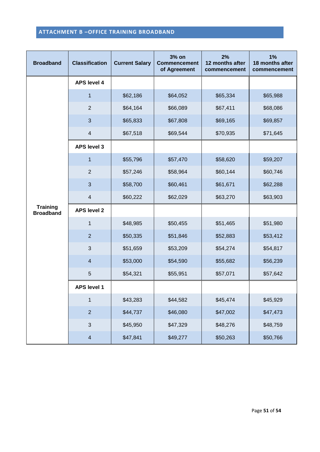#### **ATTACHMENT B –OFFICE TRAINING BROADBAND**

| <b>Broadband</b>                    | <b>Classification</b>    | <b>Current Salary</b> | 3% on<br><b>Commencement</b><br>of Agreement | 2%<br>12 months after<br>commencement | 1%<br>18 months after<br>commencement |
|-------------------------------------|--------------------------|-----------------------|----------------------------------------------|---------------------------------------|---------------------------------------|
|                                     | <b>APS level 4</b>       |                       |                                              |                                       |                                       |
|                                     | $\mathbf{1}$             | \$62,186              | \$64,052                                     | \$65,334                              | \$65,988                              |
|                                     | $\overline{2}$           | \$64,164              | \$66,089                                     | \$67,411                              | \$68,086                              |
|                                     | 3                        | \$65,833              | \$67,808                                     | \$69,165                              | \$69,857                              |
|                                     | $\overline{\mathbf{4}}$  | \$67,518              | \$69,544                                     | \$70,935                              | \$71,645                              |
|                                     | <b>APS level 3</b>       |                       |                                              |                                       |                                       |
|                                     | $\overline{1}$           | \$55,796              | \$57,470                                     | \$58,620                              | \$59,207                              |
|                                     | $\overline{2}$           | \$57,246              | \$58,964                                     | \$60,144                              | \$60,746                              |
| <b>Training</b><br><b>Broadband</b> | 3                        | \$58,700              | \$60,461                                     | \$61,671                              | \$62,288                              |
|                                     | $\overline{\mathbf{4}}$  | \$60,222              | \$62,029                                     | \$63,270                              | \$63,903                              |
|                                     | <b>APS level 2</b>       |                       |                                              |                                       |                                       |
|                                     | $\mathbf 1$              | \$48,985              | \$50,455                                     | \$51,465                              | \$51,980                              |
|                                     | $\overline{2}$           | \$50,335              | \$51,846                                     | \$52,883                              | \$53,412                              |
|                                     | 3                        | \$51,659              | \$53,209                                     | \$54,274                              | \$54,817                              |
|                                     | $\overline{\mathbf{4}}$  | \$53,000              | \$54,590                                     | \$55,682                              | \$56,239                              |
|                                     | 5                        | \$54,321              | \$55,951                                     | \$57,071                              | \$57,642                              |
|                                     | <b>APS level 1</b>       |                       |                                              |                                       |                                       |
|                                     | $\mathbf{1}$             | \$43,283              | \$44,582                                     | \$45,474                              | \$45,929                              |
|                                     | $\sqrt{2}$               | \$44,737              | \$46,080                                     | \$47,002                              | \$47,473                              |
|                                     | $\mathfrak{S}$           | \$45,950              | \$47,329                                     | \$48,276                              | \$48,759                              |
|                                     | $\overline{\mathcal{A}}$ | \$47,841              | \$49,277                                     | \$50,263                              | \$50,766                              |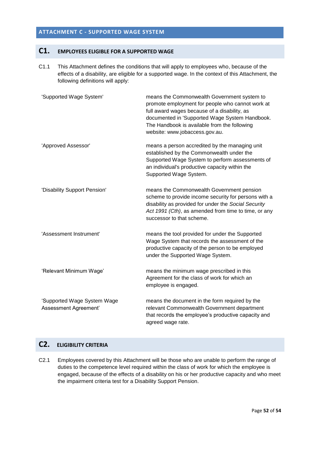#### <span id="page-56-0"></span>**ATTACHMENT C - SUPPORTED WAGE SYSTEM**

## **C1. EMPLOYEES ELIGIBLE FOR A SUPPORTED WAGE**

C1.1 This Attachment defines the conditions that will apply to employees who, because of the effects of a disability, are eligible for a supported wage. In the context of this Attachment, the following definitions will apply:

| 'Supported Wage System'                              | means the Commonwealth Government system to<br>promote employment for people who cannot work at<br>full award wages because of a disability, as<br>documented in 'Supported Wage System Handbook.<br>The Handbook is available from the following<br>website: www.jobaccess.gov.au. |
|------------------------------------------------------|-------------------------------------------------------------------------------------------------------------------------------------------------------------------------------------------------------------------------------------------------------------------------------------|
| 'Approved Assessor'                                  | means a person accredited by the managing unit<br>established by the Commonwealth under the<br>Supported Wage System to perform assessments of<br>an individual's productive capacity within the<br>Supported Wage System.                                                          |
| 'Disability Support Pension'                         | means the Commonwealth Government pension<br>scheme to provide income security for persons with a<br>disability as provided for under the Social Security<br>Act 1991 (Cth), as amended from time to time, or any<br>successor to that scheme.                                      |
| 'Assessment Instrument'                              | means the tool provided for under the Supported<br>Wage System that records the assessment of the<br>productive capacity of the person to be employed<br>under the Supported Wage System.                                                                                           |
| 'Relevant Minimum Wage'                              | means the minimum wage prescribed in this<br>Agreement for the class of work for which an<br>employee is engaged.                                                                                                                                                                   |
| 'Supported Wage System Wage<br>Assessment Agreement' | means the document in the form required by the<br>relevant Commonwealth Government department<br>that records the employee's productive capacity and<br>agreed wage rate.                                                                                                           |

## **C2. ELIGIBILITY CRITERIA**

C2.1 Employees covered by this Attachment will be those who are unable to perform the range of duties to the competence level required within the class of work for which the employee is engaged, because of the effects of a disability on his or her productive capacity and who meet the impairment criteria test for a Disability Support Pension.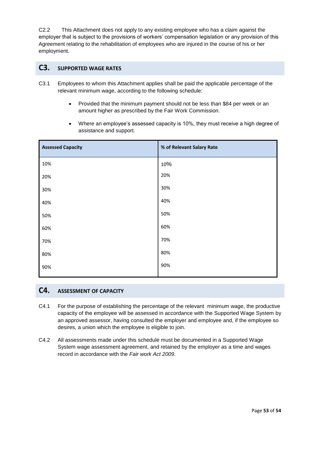C2.2 This Attachment does not apply to any existing employee who has a claim against the employer that is subject to the provisions of workers' compensation legislation or any provision of this Agreement relating to the rehabilitation of employees who are injured in the course of his or her employment.

#### **C3. SUPPORTED WAGE RATES**

- C3.1 Employees to whom this Attachment applies shall be paid the applicable percentage of the relevant minimum wage, according to the following schedule:
	- Provided that the minimum payment should not be less than \$84 per week or an amount higher as prescribed by the Fair Work Commission.
	- Where an employee's assessed capacity is 10%, they must receive a high degree of assistance and support.

| <b>Assessed Capacity</b> | % of Relevant Salary Rate |
|--------------------------|---------------------------|
| 10%                      | 10%                       |
| 20%                      | 20%                       |
| 30%                      | 30%                       |
| 40%                      | 40%                       |
| 50%                      | 50%                       |
| 60%                      | 60%                       |
| 70%                      | 70%                       |
| 80%                      | 80%                       |
| 90%                      | 90%                       |
|                          |                           |

## <span id="page-57-0"></span>**C4. ASSESSMENT OF CAPACITY**

- C4.1 For the purpose of establishing the percentage of the relevant minimum wage, the productive capacity of the employee will be assessed in accordance with the Supported Wage System by an approved assessor, having consulted the employer and employee and, if the employee so desires, a union which the employee is eligible to join.
- C4.2 All assessments made under this schedule must be documented in a Supported Wage System wage assessment agreement, and retained by the employer as a time and wages record in accordance with the *Fair work Act 2009*.